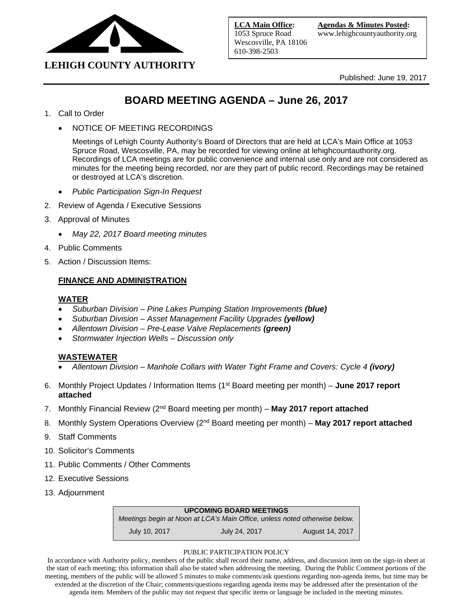

Published: June 19, 2017

## **BOARD MEETING AGENDA – June 26, 2017**

- 1. Call to Order
	- NOTICE OF MEETING RECORDINGS

Meetings of Lehigh County Authority's Board of Directors that are held at LCA's Main Office at 1053 Spruce Road, Wescosville, PA, may be recorded for viewing online at lehighcountauthority.org. Recordings of LCA meetings are for public convenience and internal use only and are not considered as minutes for the meeting being recorded, nor are they part of public record. Recordings may be retained or destroyed at LCA's discretion.

- *Public Participation Sign-In Request*
- 2. Review of Agenda / Executive Sessions
- 3. Approval of Minutes
	- *May 22, 2017 Board meeting minutes*
- 4. Public Comments
- 5. Action / Discussion Items:

#### **FINANCE AND ADMINISTRATION**

#### **WATER**

- *Suburban Division – Pine Lakes Pumping Station Improvements (blue)*
- *Suburban Division – Asset Management Facility Upgrades (yellow)*
- *Allentown Division – Pre-Lease Valve Replacements (green)*
- *Stormwater Injection Wells – Discussion only*

#### **WASTEWATER**

- *Allentown Division – Manhole Collars with Water Tight Frame and Covers: Cycle 4 (ivory)*
- 6. Monthly Project Updates / Information Items (1st Board meeting per month) **June 2017 report attached**
- 7. Monthly Financial Review (2nd Board meeting per month) **May 2017 report attached**
- 8. Monthly System Operations Overview (2<sup>nd</sup> Board meeting per month) May 2017 report attached
- 9. Staff Comments
- 10. Solicitor's Comments
- 11. Public Comments / Other Comments
- 12. Executive Sessions
- 13. Adjournment

#### **UPCOMING BOARD MEETINGS**

*Meetings begin at Noon at LCA's Main Office, unless noted otherwise below.* July 10, 2017 July 24, 2017 August 14, 2017

#### PUBLIC PARTICIPATION POLICY

In accordance with Authority policy, members of the public shall record their name, address, and discussion item on the sign-in sheet at the start of each meeting; this information shall also be stated when addressing the meeting. During the Public Comment portions of the meeting, members of the public will be allowed 5 minutes to make comments/ask questions regarding non-agenda items, but time may be extended at the discretion of the Chair; comments/questions regarding agenda items may be addressed after the presentation of the agenda item. Members of the public may not request that specific items or language be included in the meeting minutes.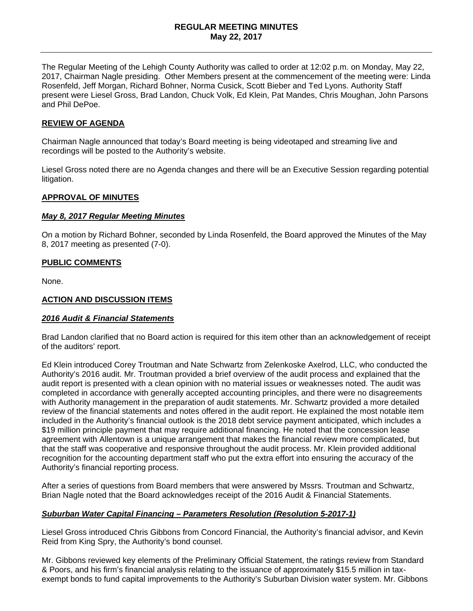#### **REGULAR MEETING MINUTES May 22, 2017**

The Regular Meeting of the Lehigh County Authority was called to order at 12:02 p.m. on Monday, May 22, 2017, Chairman Nagle presiding. Other Members present at the commencement of the meeting were: Linda Rosenfeld, Jeff Morgan, Richard Bohner, Norma Cusick, Scott Bieber and Ted Lyons. Authority Staff present were Liesel Gross, Brad Landon, Chuck Volk, Ed Klein, Pat Mandes, Chris Moughan, John Parsons and Phil DePoe.

#### **REVIEW OF AGENDA**

Chairman Nagle announced that today's Board meeting is being videotaped and streaming live and recordings will be posted to the Authority's website.

Liesel Gross noted there are no Agenda changes and there will be an Executive Session regarding potential litigation.

#### **APPROVAL OF MINUTES**

#### *May 8, 2017 Regular Meeting Minutes*

On a motion by Richard Bohner, seconded by Linda Rosenfeld, the Board approved the Minutes of the May 8, 2017 meeting as presented (7-0).

#### **PUBLIC COMMENTS**

None.

#### **ACTION AND DISCUSSION ITEMS**

#### *2016 Audit & Financial Statements*

Brad Landon clarified that no Board action is required for this item other than an acknowledgement of receipt of the auditors' report.

Ed Klein introduced Corey Troutman and Nate Schwartz from Zelenkoske Axelrod, LLC, who conducted the Authority's 2016 audit. Mr. Troutman provided a brief overview of the audit process and explained that the audit report is presented with a clean opinion with no material issues or weaknesses noted. The audit was completed in accordance with generally accepted accounting principles, and there were no disagreements with Authority management in the preparation of audit statements. Mr. Schwartz provided a more detailed review of the financial statements and notes offered in the audit report. He explained the most notable item included in the Authority's financial outlook is the 2018 debt service payment anticipated, which includes a \$19 million principle payment that may require additional financing. He noted that the concession lease agreement with Allentown is a unique arrangement that makes the financial review more complicated, but that the staff was cooperative and responsive throughout the audit process. Mr. Klein provided additional recognition for the accounting department staff who put the extra effort into ensuring the accuracy of the Authority's financial reporting process.

After a series of questions from Board members that were answered by Mssrs. Troutman and Schwartz, Brian Nagle noted that the Board acknowledges receipt of the 2016 Audit & Financial Statements.

#### *Suburban Water Capital Financing – Parameters Resolution (Resolution 5-2017-1)*

Liesel Gross introduced Chris Gibbons from Concord Financial, the Authority's financial advisor, and Kevin Reid from King Spry, the Authority's bond counsel.

Mr. Gibbons reviewed key elements of the Preliminary Official Statement, the ratings review from Standard & Poors, and his firm's financial analysis relating to the issuance of approximately \$15.5 million in taxexempt bonds to fund capital improvements to the Authority's Suburban Division water system. Mr. Gibbons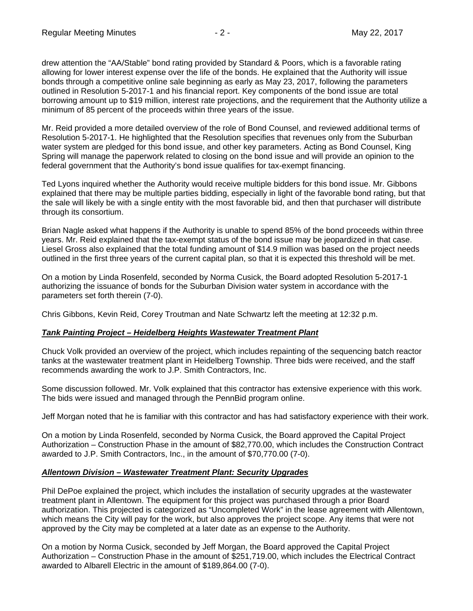drew attention the "AA/Stable" bond rating provided by Standard & Poors, which is a favorable rating allowing for lower interest expense over the life of the bonds. He explained that the Authority will issue bonds through a competitive online sale beginning as early as May 23, 2017, following the parameters outlined in Resolution 5-2017-1 and his financial report. Key components of the bond issue are total borrowing amount up to \$19 million, interest rate projections, and the requirement that the Authority utilize a minimum of 85 percent of the proceeds within three years of the issue.

Mr. Reid provided a more detailed overview of the role of Bond Counsel, and reviewed additional terms of Resolution 5-2017-1. He highlighted that the Resolution specifies that revenues only from the Suburban water system are pledged for this bond issue, and other key parameters. Acting as Bond Counsel, King Spring will manage the paperwork related to closing on the bond issue and will provide an opinion to the federal government that the Authority's bond issue qualifies for tax-exempt financing.

Ted Lyons inquired whether the Authority would receive multiple bidders for this bond issue. Mr. Gibbons explained that there may be multiple parties bidding, especially in light of the favorable bond rating, but that the sale will likely be with a single entity with the most favorable bid, and then that purchaser will distribute through its consortium.

Brian Nagle asked what happens if the Authority is unable to spend 85% of the bond proceeds within three years. Mr. Reid explained that the tax-exempt status of the bond issue may be jeopardized in that case. Liesel Gross also explained that the total funding amount of \$14.9 million was based on the project needs outlined in the first three years of the current capital plan, so that it is expected this threshold will be met.

On a motion by Linda Rosenfeld, seconded by Norma Cusick, the Board adopted Resolution 5-2017-1 authorizing the issuance of bonds for the Suburban Division water system in accordance with the parameters set forth therein (7-0).

Chris Gibbons, Kevin Reid, Corey Troutman and Nate Schwartz left the meeting at 12:32 p.m.

#### *Tank Painting Project – Heidelberg Heights Wastewater Treatment Plant*

Chuck Volk provided an overview of the project, which includes repainting of the sequencing batch reactor tanks at the wastewater treatment plant in Heidelberg Township. Three bids were received, and the staff recommends awarding the work to J.P. Smith Contractors, Inc.

Some discussion followed. Mr. Volk explained that this contractor has extensive experience with this work. The bids were issued and managed through the PennBid program online.

Jeff Morgan noted that he is familiar with this contractor and has had satisfactory experience with their work.

On a motion by Linda Rosenfeld, seconded by Norma Cusick, the Board approved the Capital Project Authorization – Construction Phase in the amount of \$82,770.00, which includes the Construction Contract awarded to J.P. Smith Contractors, Inc., in the amount of \$70,770.00 (7-0).

#### *Allentown Division – Wastewater Treatment Plant: Security Upgrades*

Phil DePoe explained the project, which includes the installation of security upgrades at the wastewater treatment plant in Allentown. The equipment for this project was purchased through a prior Board authorization. This projected is categorized as "Uncompleted Work" in the lease agreement with Allentown, which means the City will pay for the work, but also approves the project scope. Any items that were not approved by the City may be completed at a later date as an expense to the Authority.

On a motion by Norma Cusick, seconded by Jeff Morgan, the Board approved the Capital Project Authorization – Construction Phase in the amount of \$251,719.00, which includes the Electrical Contract awarded to Albarell Electric in the amount of \$189,864.00 (7-0).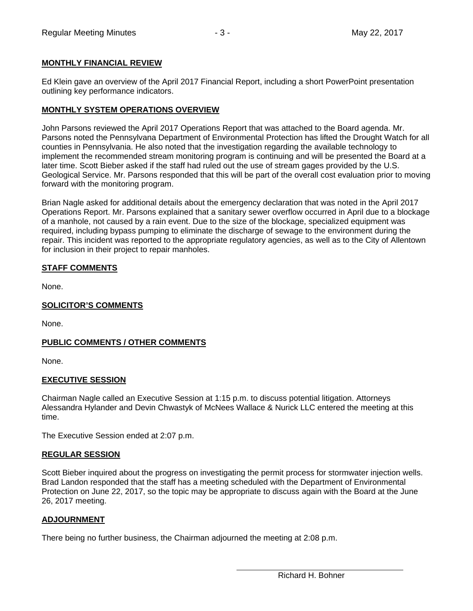#### **MONTHLY FINANCIAL REVIEW**

Ed Klein gave an overview of the April 2017 Financial Report, including a short PowerPoint presentation outlining key performance indicators.

#### **MONTHLY SYSTEM OPERATIONS OVERVIEW**

John Parsons reviewed the April 2017 Operations Report that was attached to the Board agenda. Mr. Parsons noted the Pennsylvana Department of Environmental Protection has lifted the Drought Watch for all counties in Pennsylvania. He also noted that the investigation regarding the available technology to implement the recommended stream monitoring program is continuing and will be presented the Board at a later time. Scott Bieber asked if the staff had ruled out the use of stream gages provided by the U.S. Geological Service. Mr. Parsons responded that this will be part of the overall cost evaluation prior to moving forward with the monitoring program.

Brian Nagle asked for additional details about the emergency declaration that was noted in the April 2017 Operations Report. Mr. Parsons explained that a sanitary sewer overflow occurred in April due to a blockage of a manhole, not caused by a rain event. Due to the size of the blockage, specialized equipment was required, including bypass pumping to eliminate the discharge of sewage to the environment during the repair. This incident was reported to the appropriate regulatory agencies, as well as to the City of Allentown for inclusion in their project to repair manholes.

#### **STAFF COMMENTS**

None.

#### **SOLICITOR'S COMMENTS**

None.

#### **PUBLIC COMMENTS / OTHER COMMENTS**

None.

#### **EXECUTIVE SESSION**

Chairman Nagle called an Executive Session at 1:15 p.m. to discuss potential litigation. Attorneys Alessandra Hylander and Devin Chwastyk of McNees Wallace & Nurick LLC entered the meeting at this time.

The Executive Session ended at 2:07 p.m.

#### **REGULAR SESSION**

Scott Bieber inquired about the progress on investigating the permit process for stormwater injection wells. Brad Landon responded that the staff has a meeting scheduled with the Department of Environmental Protection on June 22, 2017, so the topic may be appropriate to discuss again with the Board at the June 26, 2017 meeting.

#### **ADJOURNMENT**

There being no further business, the Chairman adjourned the meeting at 2:08 p.m.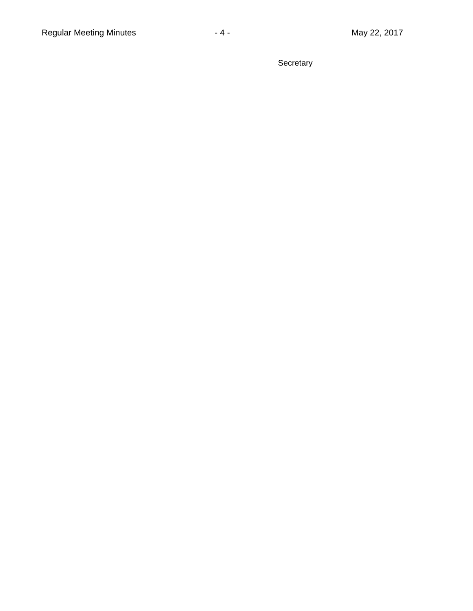**Secretary**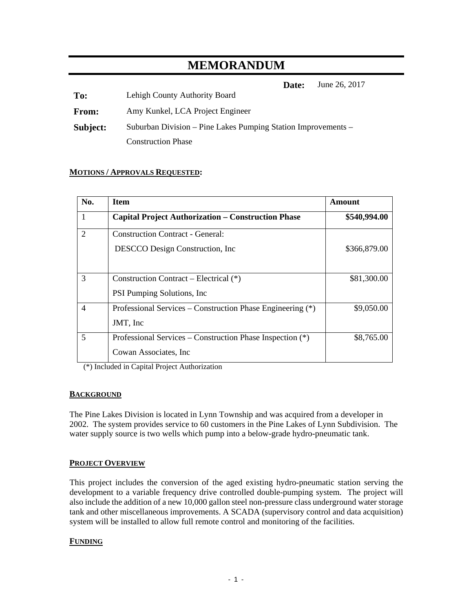## **MEMORANDUM**

**Date:** June 26, 2017

**To:** Lehigh County Authority Board

**From:** Amy Kunkel, LCA Project Engineer

**Subject:** Suburban Division – Pine Lakes Pumping Station Improvements – Construction Phase

#### **MOTIONS / APPROVALS REQUESTED:**

| No.          | <b>Item</b>                                                                | Amount       |
|--------------|----------------------------------------------------------------------------|--------------|
| $\mathbf{1}$ | <b>Capital Project Authorization – Construction Phase</b>                  | \$540,994.00 |
| 2            | <b>Construction Contract - General:</b><br>DESCCO Design Construction, Inc | \$366,879.00 |
|              |                                                                            |              |
| 3            | Construction Contract – Electrical (*)                                     | \$81,300.00  |
|              | <b>PSI Pumping Solutions, Inc.</b>                                         |              |
| 4            | Professional Services – Construction Phase Engineering (*)                 | \$9,050.00   |
|              | JMT, Inc                                                                   |              |
| 5            | Professional Services – Construction Phase Inspection (*)                  | \$8,765.00   |
|              | Cowan Associates, Inc.                                                     |              |

(\*) Included in Capital Project Authorization

#### **BACKGROUND**

The Pine Lakes Division is located in Lynn Township and was acquired from a developer in 2002. The system provides service to 60 customers in the Pine Lakes of Lynn Subdivision. The water supply source is two wells which pump into a below-grade hydro-pneumatic tank.

#### **PROJECT OVERVIEW**

This project includes the conversion of the aged existing hydro-pneumatic station serving the development to a variable frequency drive controlled double-pumping system. The project will also include the addition of a new 10,000 gallon steel non-pressure class underground water storage tank and other miscellaneous improvements. A SCADA (supervisory control and data acquisition) system will be installed to allow full remote control and monitoring of the facilities.

#### **FUNDING**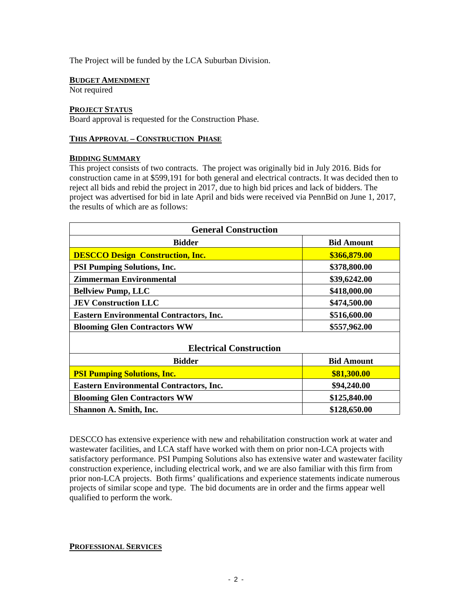The Project will be funded by the LCA Suburban Division.

#### **BUDGET AMENDMENT**

Not required

#### **PROJECT STATUS**

Board approval is requested for the Construction Phase.

#### **THIS APPROVAL – CONSTRUCTION PHASE**

#### **BIDDING SUMMARY**

This project consists of two contracts. The project was originally bid in July 2016. Bids for construction came in at \$599,191 for both general and electrical contracts. It was decided then to reject all bids and rebid the project in 2017, due to high bid prices and lack of bidders. The project was advertised for bid in late April and bids were received via PennBid on June 1, 2017, the results of which are as follows:

| <b>General Construction</b>                    |                   |
|------------------------------------------------|-------------------|
| <b>Bidder</b>                                  | <b>Bid Amount</b> |
| <b>DESCCO Design Construction, Inc.</b>        | \$366,879.00      |
| <b>PSI Pumping Solutions, Inc.</b>             | \$378,800.00      |
| <b>Zimmerman Environmental</b>                 | \$39,6242.00      |
| <b>Bellview Pump, LLC</b>                      | \$418,000.00      |
| <b>JEV Construction LLC</b>                    | \$474,500.00      |
| <b>Eastern Environmental Contractors, Inc.</b> | \$516,600.00      |
| <b>Blooming Glen Contractors WW</b>            | \$557,962.00      |
| <b>Electrical Construction</b>                 |                   |
| <b>Bidder</b>                                  | <b>Bid Amount</b> |
| <b>PSI Pumping Solutions, Inc.</b>             | \$81,300.00       |
| <b>Eastern Environmental Contractors, Inc.</b> | \$94,240.00       |
| <b>Blooming Glen Contractors WW</b>            | \$125,840.00      |
| Shannon A. Smith, Inc.                         | \$128,650.00      |

DESCCO has extensive experience with new and rehabilitation construction work at water and wastewater facilities, and LCA staff have worked with them on prior non-LCA projects with satisfactory performance. PSI Pumping Solutions also has extensive water and wastewater facility construction experience, including electrical work, and we are also familiar with this firm from prior non-LCA projects. Both firms' qualifications and experience statements indicate numerous projects of similar scope and type. The bid documents are in order and the firms appear well qualified to perform the work.

#### **PROFESSIONAL SERVICES**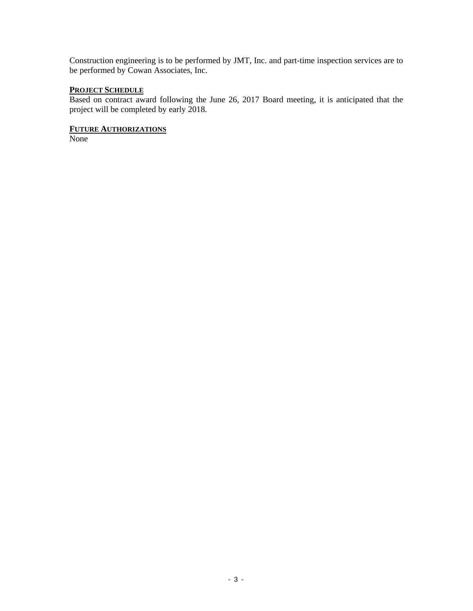Construction engineering is to be performed by JMT, Inc. and part-time inspection services are to be performed by Cowan Associates, Inc.

#### **PROJECT SCHEDULE**

Based on contract award following the June 26, 2017 Board meeting, it is anticipated that the project will be completed by early 2018.

#### **FUTURE AUTHORIZATIONS**

None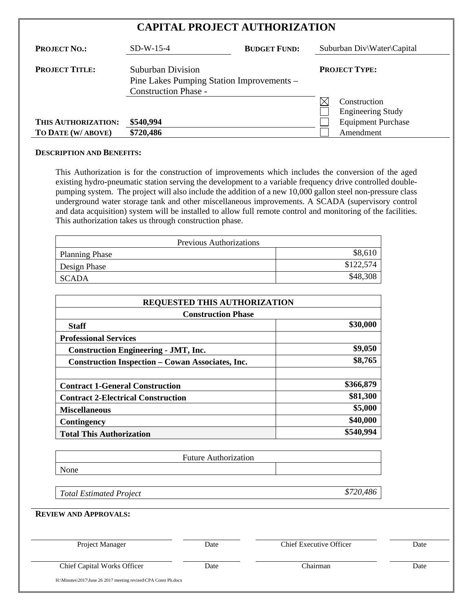| <b>CAPITAL PROJECT AUTHORIZATION</b> |                                                                                               |                     |                                                                  |
|--------------------------------------|-----------------------------------------------------------------------------------------------|---------------------|------------------------------------------------------------------|
| <b>PROJECT NO.:</b>                  | $SD-W-15-4$                                                                                   | <b>BUDGET FUND:</b> | Suburban Div\Water\Capital                                       |
| <b>PROJECT TITLE:</b>                | Suburban Division<br>Pine Lakes Pumping Station Improvements –<br><b>Construction Phase -</b> |                     | <b>PROJECT TYPE:</b><br>Construction<br><b>Engineering Study</b> |
| THIS AUTHORIZATION:                  | \$540,994                                                                                     |                     | <b>Equipment Purchase</b>                                        |
| TO DATE (W/ ABOVE)                   | \$720,486                                                                                     |                     | Amendment                                                        |

#### **DESCRIPTION AND BENEFITS:**

This Authorization is for the construction of improvements which includes the conversion of the aged existing hydro-pneumatic station serving the development to a variable frequency drive controlled doublepumping system. The project will also include the addition of a new 10,000 gallon steel non-pressure class underground water storage tank and other miscellaneous improvements. A SCADA (supervisory control and data acquisition) system will be installed to allow full remote control and monitoring of the facilities. This authorization takes us through construction phase.

| <b>Previous Authorizations</b> |           |
|--------------------------------|-----------|
| <b>Planning Phase</b>          | \$8,610   |
| Design Phase                   | \$122,574 |
| SCADA                          | \$48,308  |

| <b>REQUESTED THIS AUTHORIZATION</b>                     |           |
|---------------------------------------------------------|-----------|
| <b>Construction Phase</b>                               |           |
| <b>Staff</b>                                            | \$30,000  |
| <b>Professional Services</b>                            |           |
| <b>Construction Engineering - JMT, Inc.</b>             | \$9,050   |
| <b>Construction Inspection – Cowan Associates, Inc.</b> | \$8,765   |
|                                                         |           |
| <b>Contract 1-General Construction</b>                  | \$366,879 |
| <b>Contract 2-Electrical Construction</b>               | \$81,300  |
| <b>Miscellaneous</b>                                    | \$5,000   |
| Contingency                                             | \$40,000  |
| <b>Total This Authorization</b>                         | \$540,994 |

|      | <b>Future Authorization</b> |  |
|------|-----------------------------|--|
| None |                             |  |

*Total Estimated Project \$720,486*

**REVIEW AND APPROVALS:**

| Project Manager                    | Date | <b>Chief Executive Officer</b> | Date |
|------------------------------------|------|--------------------------------|------|
| <b>Chief Capital Works Officer</b> | Date | Chairman                       | Date |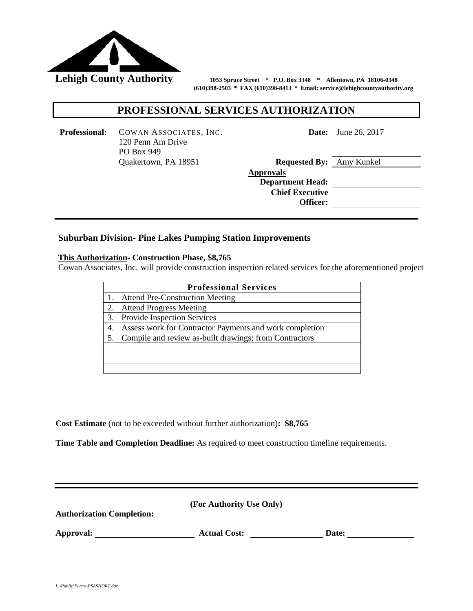

 **(610)398-2503 \* FAX (610)398-8413 \* Email: service@lehighcountyauthority.org**

#### **PROFESSIONAL SERVICES AUTHORIZATION**

**Professional:** COWAN ASSOCIATES, INC. 120 Penn Am Drive PO Box 949 Quakertown, PA 18951

**Date:** June 26, 2017

| <b>Requested By:</b> Amy Kunkel |  |
|---------------------------------|--|
| <b>Approvals</b>                |  |
| <b>Department Head:</b>         |  |
| <b>Chief Executive</b>          |  |
| Officer:                        |  |
|                                 |  |

#### **Suburban Division- Pine Lakes Pumping Station Improvements**

#### **This Authorization- Construction Phase, \$8,765**

Cowan Associates, Inc. will provide construction inspection related services for the aforementioned project

|    | <b>Professional Services</b>                              |
|----|-----------------------------------------------------------|
|    | <b>Attend Pre-Construction Meeting</b>                    |
| 2. | <b>Attend Progress Meeting</b>                            |
|    | 3. Provide Inspection Services                            |
|    | Assess work for Contractor Payments and work completion   |
|    | 5. Compile and review as-built drawings; from Contractors |
|    |                                                           |
|    |                                                           |
|    |                                                           |

**Cost Estimate** (not to be exceeded without further authorization)**: \$8,765**

**Time Table and Completion Deadline:** As required to meet construction timeline requirements.

**Authorization Completion:** 

Approval: <u>Approval:</u> Actual Cost: <u>Date:</u> Date: <u>Date:</u>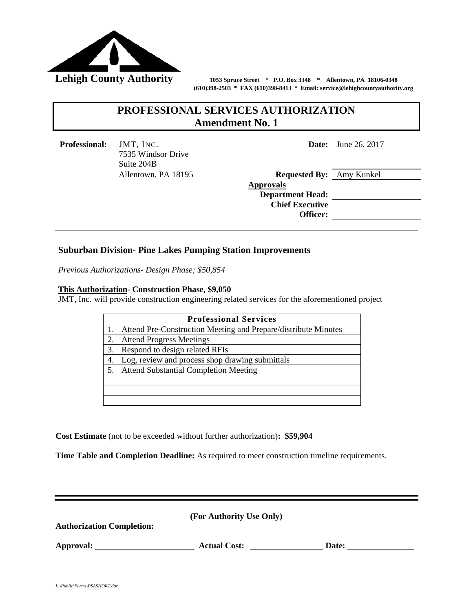

 **(610)398-2503 \* FAX (610)398-8413 \* Email: service@lehighcountyauthority.org**

## **PROFESSIONAL SERVICES AUTHORIZATION Amendment No. 1**

**Professional:** JMT, INC. 7535 Windsor Drive Suite 204B Allentown, PA 18195 **Date:** June 26, 2017

| <b>Requested By:</b> Amy Kunkel |  |
|---------------------------------|--|
| <b>Approvals</b>                |  |
| <b>Department Head:</b>         |  |
| <b>Chief Executive</b>          |  |
| Officer:                        |  |
|                                 |  |

#### **Suburban Division- Pine Lakes Pumping Station Improvements**

*Previous Authorizations- Design Phase; \$50,854*

#### **This Authorization- Construction Phase, \$9,050**

JMT, Inc. will provide construction engineering related services for the aforementioned project

| Attend Pre-Construction Meeting and Prepare/distribute Minutes<br><b>Attend Progress Meetings</b><br>Respond to design related RFIs<br>3.<br>Log, review and process shop drawing submittals<br><b>Attend Substantial Completion Meeting</b> | <b>Professional Services</b> |
|----------------------------------------------------------------------------------------------------------------------------------------------------------------------------------------------------------------------------------------------|------------------------------|
|                                                                                                                                                                                                                                              |                              |
|                                                                                                                                                                                                                                              |                              |
|                                                                                                                                                                                                                                              |                              |
|                                                                                                                                                                                                                                              |                              |
|                                                                                                                                                                                                                                              |                              |
|                                                                                                                                                                                                                                              |                              |
|                                                                                                                                                                                                                                              |                              |

**Cost Estimate** (not to be exceeded without further authorization)**: \$59,904**

**Time Table and Completion Deadline:** As required to meet construction timeline requirements.

| <b>Authorization Completion:</b> | (For Authority Use Only) |       |  |
|----------------------------------|--------------------------|-------|--|
| Approval:                        | <b>Actual Cost:</b>      | Date: |  |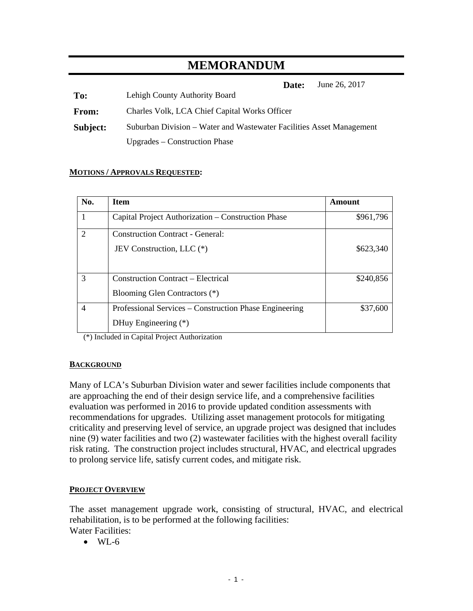## **MEMORANDUM**

**Date:** June 26, 2017

**To:** Lehigh County Authority Board

**From:** Charles Volk, LCA Chief Capital Works Officer

**Subject:** Suburban Division – Water and Wastewater Facilities Asset Management Upgrades – Construction Phase

#### **MOTIONS / APPROVALS REQUESTED:**

| No.                         | <b>Item</b>                                            | Amount    |
|-----------------------------|--------------------------------------------------------|-----------|
|                             | Capital Project Authorization – Construction Phase     | \$961,796 |
| $\mathcal{D}_{\mathcal{L}}$ | <b>Construction Contract - General:</b>                |           |
|                             | JEV Construction, LLC (*)                              | \$623,340 |
|                             |                                                        |           |
| 3                           | <b>Construction Contract – Electrical</b>              | \$240,856 |
|                             | Blooming Glen Contractors (*)                          |           |
| 4                           | Professional Services – Construction Phase Engineering | \$37,600  |
|                             | DHuy Engineering (*)                                   |           |

(\*) Included in Capital Project Authorization

#### **BACKGROUND**

Many of LCA's Suburban Division water and sewer facilities include components that are approaching the end of their design service life, and a comprehensive facilities evaluation was performed in 2016 to provide updated condition assessments with recommendations for upgrades. Utilizing asset management protocols for mitigating criticality and preserving level of service, an upgrade project was designed that includes nine (9) water facilities and two (2) wastewater facilities with the highest overall facility risk rating. The construction project includes structural, HVAC, and electrical upgrades to prolong service life, satisfy current codes, and mitigate risk.

#### **PROJECT OVERVIEW**

The asset management upgrade work, consisting of structural, HVAC, and electrical rehabilitation, is to be performed at the following facilities: Water Facilities:

 $\bullet$  WL-6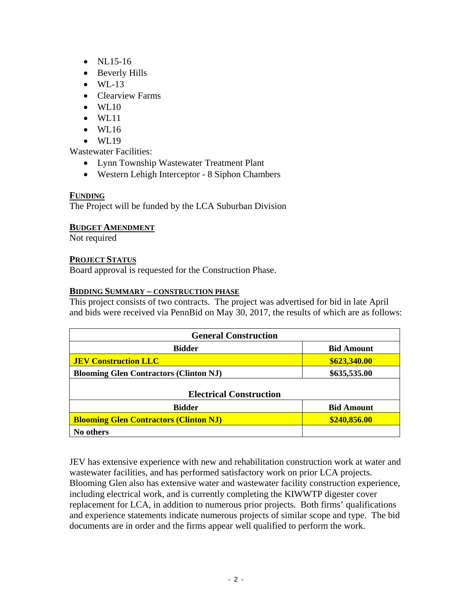- NL15-16
- Beverly Hills
- $\bullet$  WL-13
- Clearview Farms
- WL10
- WL11
- $\bullet$  WL16
- WL19

Wastewater Facilities:

- Lynn Township Wastewater Treatment Plant
- Western Lehigh Interceptor 8 Siphon Chambers

#### **FUNDING**

The Project will be funded by the LCA Suburban Division

#### **BUDGET AMENDMENT**

Not required

#### **PROJECT STATUS**

Board approval is requested for the Construction Phase.

#### **BIDDING SUMMARY – CONSTRUCTION PHASE**

This project consists of two contracts. The project was advertised for bid in late April and bids were received via PennBid on May 30, 2017, the results of which are as follows:

| <b>General Construction</b>                   |                   |  |
|-----------------------------------------------|-------------------|--|
| <b>Bidder</b>                                 | <b>Bid Amount</b> |  |
| <b>JEV Construction LLC</b>                   | \$623,340.00      |  |
| <b>Blooming Glen Contractors (Clinton NJ)</b> | \$635,535.00      |  |
| <b>Electrical Construction</b>                |                   |  |
| <b>Bidder</b>                                 | <b>Bid Amount</b> |  |
| <b>Blooming Glen Contractors (Clinton NJ)</b> | \$240,856.00      |  |
| No others                                     |                   |  |

JEV has extensive experience with new and rehabilitation construction work at water and wastewater facilities, and has performed satisfactory work on prior LCA projects. Blooming Glen also has extensive water and wastewater facility construction experience, including electrical work, and is currently completing the KIWWTP digester cover replacement for LCA, in addition to numerous prior projects. Both firms' qualifications and experience statements indicate numerous projects of similar scope and type. The bid documents are in order and the firms appear well qualified to perform the work.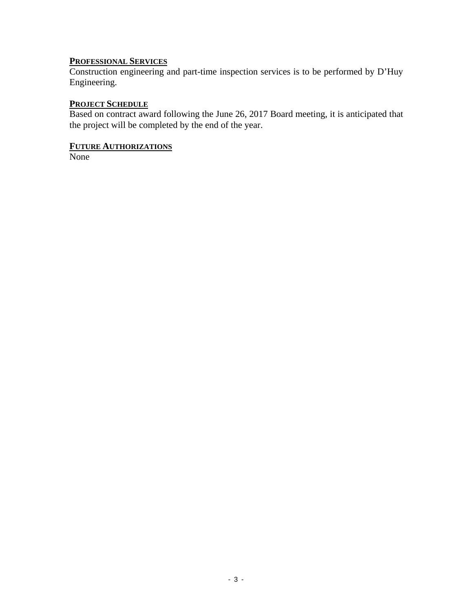## **PROFESSIONAL SERVICES**

Construction engineering and part-time inspection services is to be performed by D'Huy Engineering.

## **PROJECT SCHEDULE**

Based on contract award following the June 26, 2017 Board meeting, it is anticipated that the project will be completed by the end of the year.

## **FUTURE AUTHORIZATIONS**

None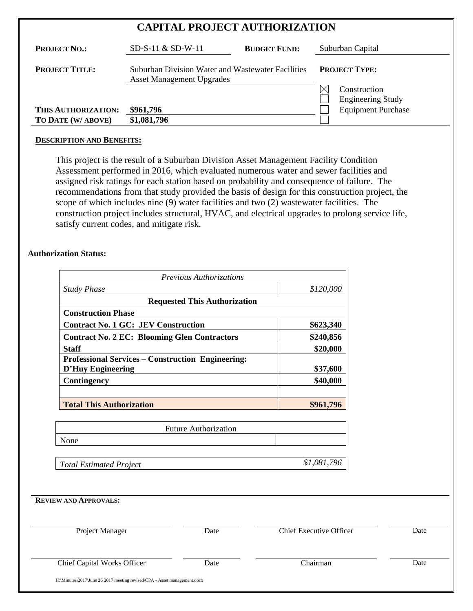| <b>CAPITAL PROJECT AUTHORIZATION</b> |                                                                                       |                                                                  |  |
|--------------------------------------|---------------------------------------------------------------------------------------|------------------------------------------------------------------|--|
| <b>PROJECT NO.:</b>                  | <b>BUDGET FUND:</b><br>$SD-S-11 \& SD-W-11$                                           | Suburban Capital                                                 |  |
| <b>PROJECT TITLE:</b>                | Suburban Division Water and Wastewater Facilities<br><b>Asset Management Upgrades</b> | <b>PROJECT TYPE:</b><br>Construction<br><b>Engineering Study</b> |  |
| THIS AUTHORIZATION:                  | \$961,796                                                                             | <b>Equipment Purchase</b>                                        |  |
| TO DATE (W/ ABOVE)                   | \$1,081,796                                                                           |                                                                  |  |

#### **DESCRIPTION AND BENEFITS:**

This project is the result of a Suburban Division Asset Management Facility Condition Assessment performed in 2016, which evaluated numerous water and sewer facilities and assigned risk ratings for each station based on probability and consequence of failure. The recommendations from that study provided the basis of design for this construction project, the scope of which includes nine (9) water facilities and two (2) wastewater facilities. The construction project includes structural, HVAC, and electrical upgrades to prolong service life, satisfy current codes, and mitigate risk.

#### **Authorization Status:**

| Previous Authorizations<br><b>Study Phase</b><br>\$120,000                           |                                     |                                |      |
|--------------------------------------------------------------------------------------|-------------------------------------|--------------------------------|------|
|                                                                                      |                                     |                                |      |
|                                                                                      | <b>Requested This Authorization</b> |                                |      |
| <b>Construction Phase</b>                                                            |                                     |                                |      |
| <b>Contract No. 1 GC: JEV Construction</b>                                           |                                     | \$623,340                      |      |
| <b>Contract No. 2 EC: Blooming Glen Contractors</b>                                  |                                     | \$240,856                      |      |
| <b>Staff</b>                                                                         |                                     | \$20,000                       |      |
| <b>Professional Services - Construction Engineering:</b><br><b>D'Huy Engineering</b> |                                     | \$37,600                       |      |
| <b>Contingency</b>                                                                   |                                     | \$40,000                       |      |
|                                                                                      |                                     |                                |      |
| <b>Total This Authorization</b>                                                      |                                     | \$961,796                      |      |
|                                                                                      |                                     |                                |      |
|                                                                                      | <b>Future Authorization</b>         |                                |      |
| None                                                                                 |                                     |                                |      |
| <b>Total Estimated Project</b>                                                       |                                     | \$1,081,796                    |      |
| <b>REVIEW AND APPROVALS:</b>                                                         |                                     |                                |      |
|                                                                                      |                                     |                                |      |
| Project Manager                                                                      | Date                                | <b>Chief Executive Officer</b> | Date |
|                                                                                      | Date                                | Chairman                       | Date |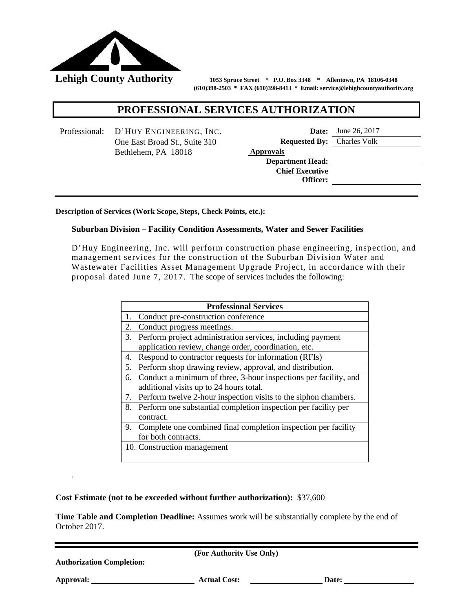

 **(610)398-2503 \* FAX (610)398-8413 \* Email: service@lehighcountyauthority.org**

#### **PROFESSIONAL SERVICES AUTHORIZATION**

Professional: D'HUY ENGINEERING, INC. **Date:** June 26, 2017 Bethlehem, PA 18018 **Approvals**

One East Broad St., Suite 310 **Requested By:** Charles Volk

**Department Head: Chief Executive Officer:**

**Description of Services (Work Scope, Steps, Check Points, etc.):**

#### **Suburban Division – Facility Condition Assessments, Water and Sewer Facilities**

D'Huy Engineering, Inc. will perform construction phase engineering, inspection, and management services for the construction of the Suburban Division Water and Wastewater Facilities Asset Management Upgrade Project, in accordance with their proposal dated June 7, 2017. The scope of services includes the following:

| Conduct pre-construction conference<br>Conduct progress meetings.<br>Perform project administration services, including payment<br>application review, change order, coordination, etc.<br>Respond to contractor requests for information (RFIs) |
|--------------------------------------------------------------------------------------------------------------------------------------------------------------------------------------------------------------------------------------------------|
|                                                                                                                                                                                                                                                  |
|                                                                                                                                                                                                                                                  |
|                                                                                                                                                                                                                                                  |
|                                                                                                                                                                                                                                                  |
|                                                                                                                                                                                                                                                  |
| Perform shop drawing review, approval, and distribution.                                                                                                                                                                                         |
| Conduct a minimum of three, 3-hour inspections per facility, and                                                                                                                                                                                 |
| additional visits up to 24 hours total.                                                                                                                                                                                                          |
| Perform twelve 2-hour inspection visits to the siphon chambers.                                                                                                                                                                                  |
| 8. Perform one substantial completion inspection per facility per                                                                                                                                                                                |
| contract.                                                                                                                                                                                                                                        |
| 9. Complete one combined final completion inspection per facility                                                                                                                                                                                |
| for both contracts.                                                                                                                                                                                                                              |
| 10. Construction management                                                                                                                                                                                                                      |
|                                                                                                                                                                                                                                                  |

**Cost Estimate (not to be exceeded without further authorization):** \$37,600

**Time Table and Completion Deadline:** Assumes work will be substantially complete by the end of October 2017.

**(For Authority Use Only)**

**Authorization Completion:** 

*.*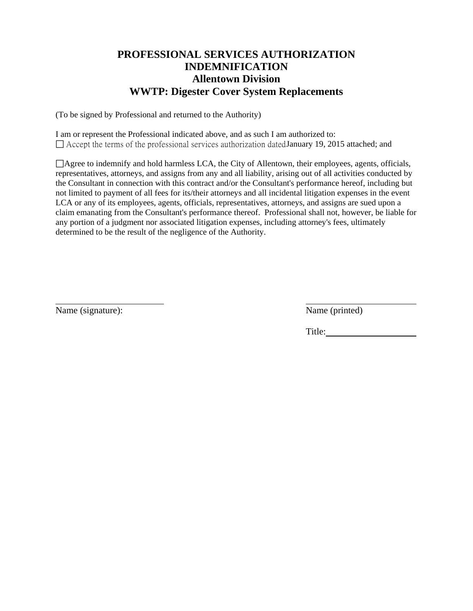## **PROFESSIONAL SERVICES AUTHORIZATION INDEMNIFICATION Allentown Division WWTP: Digester Cover System Replacements**

(To be signed by Professional and returned to the Authority)

I am or represent the Professional indicated above, and as such I am authorized to:  $\Box$  Accept the terms of the professional services authorization dated January 19, 2015 attached; and

Agree to indemnify and hold harmless LCA, the City of Allentown, their employees, agents, officials, representatives, attorneys, and assigns from any and all liability, arising out of all activities conducted by the Consultant in connection with this contract and/or the Consultant's performance hereof, including but not limited to payment of all fees for its/their attorneys and all incidental litigation expenses in the event LCA or any of its employees, agents, officials, representatives, attorneys, and assigns are sued upon a claim emanating from the Consultant's performance thereof. Professional shall not, however, be liable for any portion of a judgment nor associated litigation expenses, including attorney's fees, ultimately determined to be the result of the negligence of the Authority.

Name (signature): Name (printed)

Title: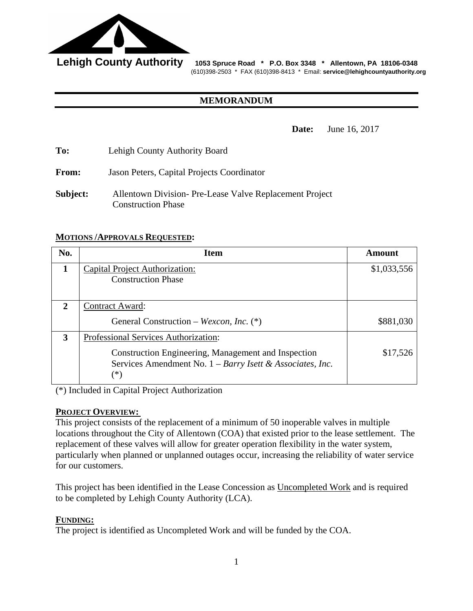

Lehigh County Authority 1053 Spruce Road \* P.O. Box 3348 \* Allentown, PA 18106-0348 (610)398-2503 \* FAX (610)398-8413 \* Email: **service@lehighcountyauthority.org**

#### **MEMORANDUM**

**Date:** June 16, 2017

**To:** Lehigh County Authority Board

**From:** Jason Peters, Capital Projects Coordinator

**Subject:** Allentown Division- Pre-Lease Valve Replacement Project Construction Phase

#### **MOTIONS /APPROVALS REQUESTED:**

| No.          | <b>Item</b>                                                                                                                          | Amount      |
|--------------|--------------------------------------------------------------------------------------------------------------------------------------|-------------|
| 1            | Capital Project Authorization:                                                                                                       | \$1,033,556 |
|              | <b>Construction Phase</b>                                                                                                            |             |
|              |                                                                                                                                      |             |
| $\mathbf{2}$ | <b>Contract Award:</b>                                                                                                               |             |
|              | General Construction – Wexcon, Inc. (*)                                                                                              | \$881,030   |
| 3            | Professional Services Authorization:                                                                                                 |             |
|              | Construction Engineering, Management and Inspection<br>Services Amendment No. $1 - Barry$ <i>Isett &amp; Associates, Inc.</i><br>(*` | \$17,526    |

(\*) Included in Capital Project Authorization

#### **PROJECT OVERVIEW:**

This project consists of the replacement of a minimum of 50 inoperable valves in multiple locations throughout the City of Allentown (COA) that existed prior to the lease settlement. The replacement of these valves will allow for greater operation flexibility in the water system, particularly when planned or unplanned outages occur, increasing the reliability of water service for our customers.

This project has been identified in the Lease Concession as Uncompleted Work and is required to be completed by Lehigh County Authority (LCA).

#### **FUNDING:**

The project is identified as Uncompleted Work and will be funded by the COA.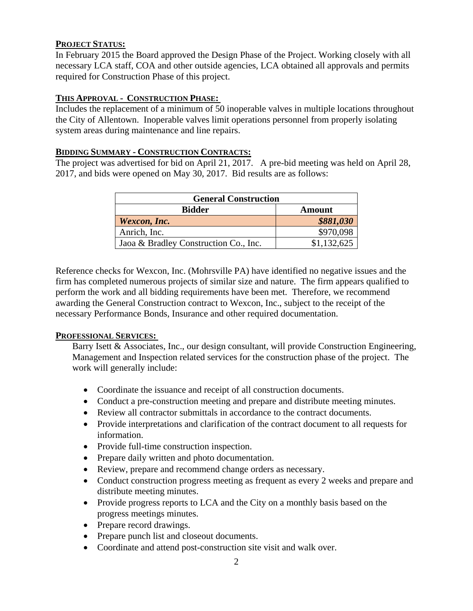#### **PROJECT STATUS:**

In February 2015 the Board approved the Design Phase of the Project. Working closely with all necessary LCA staff, COA and other outside agencies, LCA obtained all approvals and permits required for Construction Phase of this project.

#### **THIS APPROVAL - CONSTRUCTION PHASE:**

Includes the replacement of a minimum of 50 inoperable valves in multiple locations throughout the City of Allentown. Inoperable valves limit operations personnel from properly isolating system areas during maintenance and line repairs.

#### **BIDDING SUMMARY - CONSTRUCTION CONTRACTS:**

The project was advertised for bid on April 21, 2017. A pre-bid meeting was held on April 28, 2017, and bids were opened on May 30, 2017. Bid results are as follows:

| <b>General Construction</b>           |             |  |
|---------------------------------------|-------------|--|
| <b>Bidder</b><br><b>Amount</b>        |             |  |
| Wexcon, Inc.                          | \$881,030   |  |
| Anrich, Inc.                          | \$970,098   |  |
| Jaoa & Bradley Construction Co., Inc. | \$1.132.625 |  |

Reference checks for Wexcon, Inc. (Mohrsville PA) have identified no negative issues and the firm has completed numerous projects of similar size and nature. The firm appears qualified to perform the work and all bidding requirements have been met. Therefore, we recommend awarding the General Construction contract to Wexcon, Inc., subject to the receipt of the necessary Performance Bonds, Insurance and other required documentation.

#### **PROFESSIONAL SERVICES:**

Barry Isett & Associates, Inc., our design consultant, will provide Construction Engineering, Management and Inspection related services for the construction phase of the project. The work will generally include:

- Coordinate the issuance and receipt of all construction documents.
- Conduct a pre-construction meeting and prepare and distribute meeting minutes.
- Review all contractor submittals in accordance to the contract documents.
- Provide interpretations and clarification of the contract document to all requests for information.
- Provide full-time construction inspection.
- Prepare daily written and photo documentation.
- Review, prepare and recommend change orders as necessary.
- Conduct construction progress meeting as frequent as every 2 weeks and prepare and distribute meeting minutes.
- Provide progress reports to LCA and the City on a monthly basis based on the progress meetings minutes.
- Prepare record drawings.
- Prepare punch list and closeout documents.
- Coordinate and attend post-construction site visit and walk over.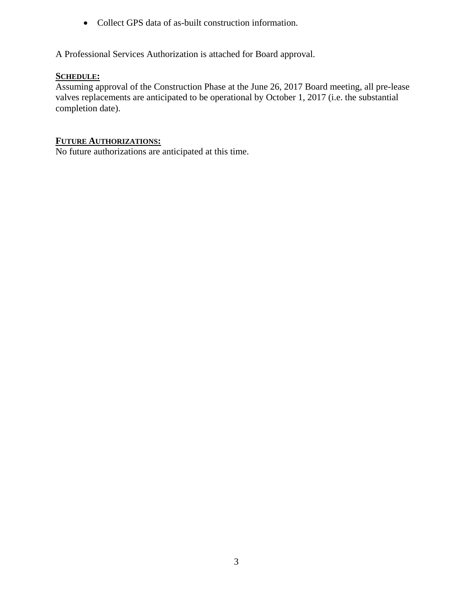• Collect GPS data of as-built construction information.

A Professional Services Authorization is attached for Board approval.

#### **SCHEDULE:**

Assuming approval of the Construction Phase at the June 26, 2017 Board meeting, all pre-lease valves replacements are anticipated to be operational by October 1, 2017 (i.e. the substantial completion date).

#### **FUTURE AUTHORIZATIONS:**

No future authorizations are anticipated at this time.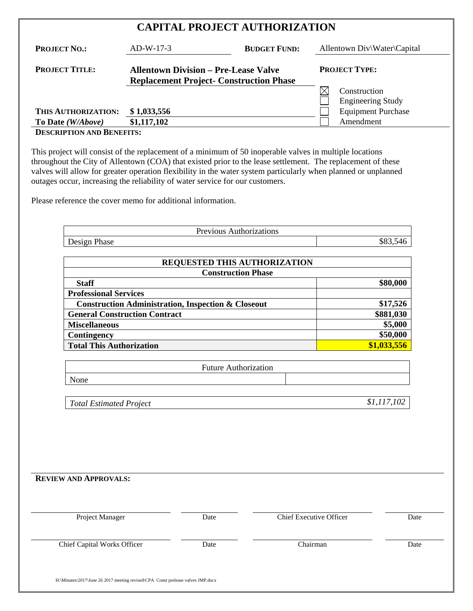| <b>CAPITAL PROJECT AUTHORIZATION</b> |  |
|--------------------------------------|--|
|--------------------------------------|--|

| <b>PROJECT NO.:</b>   | $AD-W-17-3$                                                                                   | <b>BUDGET FUND:</b> | Allentown Div\Water\Capital              |
|-----------------------|-----------------------------------------------------------------------------------------------|---------------------|------------------------------------------|
| <b>PROJECT TITLE:</b> | <b>Allentown Division – Pre-Lease Valve</b><br><b>Replacement Project- Construction Phase</b> |                     | <b>PROJECT TYPE:</b>                     |
|                       |                                                                                               |                     | Construction<br><b>Engineering Study</b> |
| THIS AUTHORIZATION:   | \$1,033,556                                                                                   |                     | <b>Equipment Purchase</b>                |
| To Date (W/Above)     | \$1,117,102                                                                                   |                     | Amendment                                |

### **DESCRIPTION AND BENEFITS:**

This project will consist of the replacement of a minimum of 50 inoperable valves in multiple locations throughout the City of Allentown (COA) that existed prior to the lease settlement. The replacement of these valves will allow for greater operation flexibility in the water system particularly when planned or unplanned outages occur, increasing the reliability of water service for our customers.

Please reference the cover memo for additional information.

| Previous Authorizations |     |
|-------------------------|-----|
| $\sim$<br>Design Phase  | ა46 |

| REQUESTED THIS AUTHORIZATION                                  |             |  |
|---------------------------------------------------------------|-------------|--|
| <b>Construction Phase</b>                                     |             |  |
| <b>Staff</b>                                                  | \$80,000    |  |
| <b>Professional Services</b>                                  |             |  |
| <b>Construction Administration, Inspection &amp; Closeout</b> | \$17,526    |  |
| <b>General Construction Contract</b>                          | \$881,030   |  |
| <b>Miscellaneous</b>                                          | \$5,000     |  |
| Contingency                                                   | \$50,000    |  |
| <b>Total This Authorization</b>                               | \$1,033,556 |  |

| <b>Future Authorization</b> |  |
|-----------------------------|--|
| None                        |  |
|                             |  |

| Total Estimated Project | \$1,117,102 |
|-------------------------|-------------|
|-------------------------|-------------|

| <b>REVIEW AND APPROVALS:</b> |  |  |  |
|------------------------------|--|--|--|
|------------------------------|--|--|--|

| Chairman | Date |
|----------|------|
|          |      |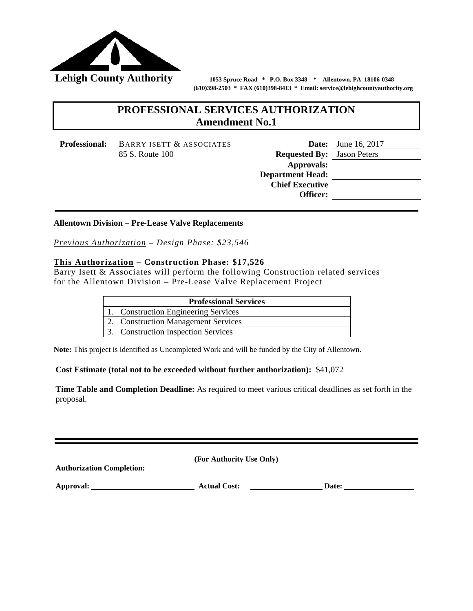

 **(610)398-2503 \* FAX (610)398-8413 \* Email: service@lehighcountyauthority.org**

## **PROFESSIONAL SERVICES AUTHORIZATION Amendment No.1**

**Professional:** BARRY ISETT & ASSOCIATES **Date:** June 16, 2017

85 S. Route 100 **Requested By:** Jason Peters **Approvals: Department Head: Chief Executive Officer:**

## **Description of Services (Work Scope, Steps, Check Points, etc.): Allentown Division – Pre-Lease Valve Replacements**

*Previous Authorization – Design Phase: \$23,546*

#### **This Authorization – Construction Phase: \$17,526**

Barry Isett & Associates will perform the following Construction related services for the Allentown Division – Pre-Lease Valve Replacement Project

| <b>Professional Services</b>         |
|--------------------------------------|
| 1. Construction Engineering Services |
| 2. Construction Management Services  |
| 3. Construction Inspection Services  |

**Note:** This project is identified as Uncompleted Work and will be funded by the City of Allentown.

#### **Cost Estimate (total not to be exceeded without further authorization):** \$41,072

**Time Table and Completion Deadline:** As required to meet various critical deadlines as set forth in the proposal.

**(For Authority Use Only) Authorization Completion: Approval:** Actual Cost: Date: Date: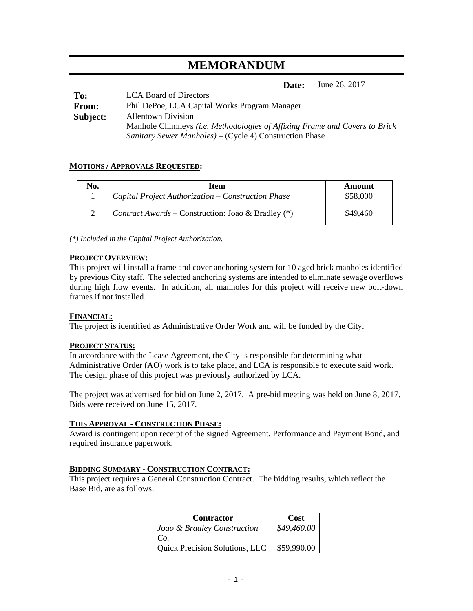## **MEMORANDUM**

**Date:** June 26, 2017

| To:      | <b>LCA Board of Directors</b>                                              |
|----------|----------------------------------------------------------------------------|
| From:    | Phil DePoe, LCA Capital Works Program Manager                              |
| Subject: | <b>Allentown Division</b>                                                  |
|          | Manhole Chimneys (i.e. Methodologies of Affixing Frame and Covers to Brick |
|          | <i>Sanitary Sewer Manholes</i> ) – (Cycle 4) Construction Phase            |

#### **MOTIONS / APPROVALS REQUESTED:**

| N <sub>0</sub> . | Item                                               | Amount   |
|------------------|----------------------------------------------------|----------|
|                  | Capital Project Authorization – Construction Phase | \$58,000 |
|                  | Contract Awards – Construction: Joao & Bradley (*) | \$49,460 |

*(\*) Included in the Capital Project Authorization.*

#### **PROJECT OVERVIEW:**

This project will install a frame and cover anchoring system for 10 aged brick manholes identified by previous City staff. The selected anchoring systems are intended to eliminate sewage overflows during high flow events. In addition, all manholes for this project will receive new bolt-down frames if not installed.

#### **FINANCIAL:**

The project is identified as Administrative Order Work and will be funded by the City.

#### **PROJECT STATUS:**

In accordance with the Lease Agreement, the City is responsible for determining what Administrative Order (AO) work is to take place, and LCA is responsible to execute said work. The design phase of this project was previously authorized by LCA.

The project was advertised for bid on June 2, 2017. A pre-bid meeting was held on June 8, 2017. Bids were received on June 15, 2017.

#### **THIS APPROVAL - CONSTRUCTION PHASE:**

Award is contingent upon receipt of the signed Agreement, Performance and Payment Bond, and required insurance paperwork.

#### **BIDDING SUMMARY - CONSTRUCTION CONTRACT:**

This project requires a General Construction Contract. The bidding results, which reflect the Base Bid, are as follows:

| <b>Contractor</b>                     | <b>Cost</b> |
|---------------------------------------|-------------|
| Joao & Bradley Construction           | \$49,460.00 |
| Co.                                   |             |
| <b>Quick Precision Solutions, LLC</b> | \$59,990.00 |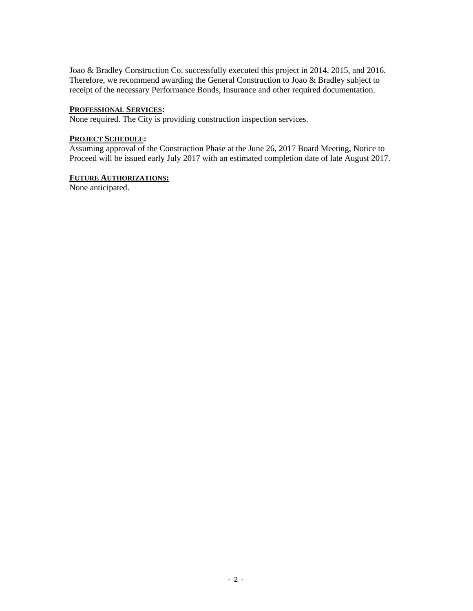Joao & Bradley Construction Co. successfully executed this project in 2014, 2015, and 2016. Therefore, we recommend awarding the General Construction to Joao & Bradley subject to receipt of the necessary Performance Bonds, Insurance and other required documentation.

#### **PROFESSIONAL SERVICES:**

None required. The City is providing construction inspection services.

#### **PROJECT SCHEDULE:**

Assuming approval of the Construction Phase at the June 26, 2017 Board Meeting, Notice to Proceed will be issued early July 2017 with an estimated completion date of late August 2017.

#### **FUTURE AUTHORIZATIONS:**

None anticipated.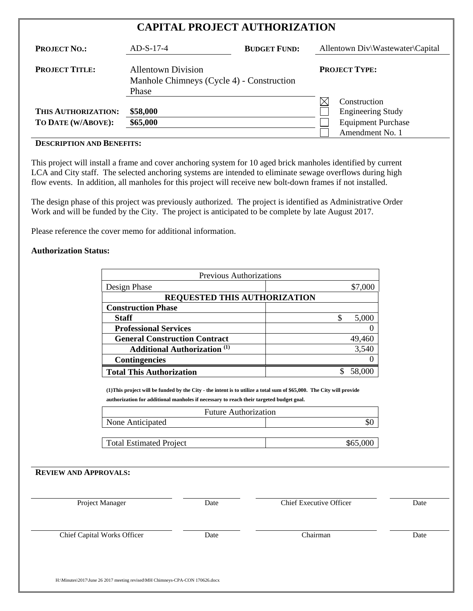## **CAPITAL PROJECT AUTHORIZATION**

| <b>PROJECT NO.:</b>                       | $AD-S-17-4$                                                                     | <b>BUDGET FUND:</b> | Allentown Div\Wastewater\Capital                                                         |  |
|-------------------------------------------|---------------------------------------------------------------------------------|---------------------|------------------------------------------------------------------------------------------|--|
| <b>PROJECT TITLE:</b>                     | <b>Allentown Division</b><br>Manhole Chimneys (Cycle 4) - Construction<br>Phase |                     | <b>PROJECT TYPE:</b>                                                                     |  |
| THIS AUTHORIZATION:<br>TO DATE (W/ABOVE): | \$58,000<br>\$65,000                                                            |                     | Construction<br><b>Engineering Study</b><br><b>Equipment Purchase</b><br>Amendment No. 1 |  |

#### **DESCRIPTION AND BENEFITS:**

This project will install a frame and cover anchoring system for 10 aged brick manholes identified by current LCA and City staff. The selected anchoring systems are intended to eliminate sewage overflows during high flow events. In addition, all manholes for this project will receive new bolt-down frames if not installed.

The design phase of this project was previously authorized. The project is identified as Administrative Order Work and will be funded by the City. The project is anticipated to be complete by late August 2017.

Please reference the cover memo for additional information.

#### **Authorization Status:**

| <b>Previous Authorizations</b>                 |         |
|------------------------------------------------|---------|
| Design Phase                                   | \$7,000 |
| <b>REQUESTED THIS AUTHORIZATION</b>            |         |
| <b>Construction Phase</b>                      |         |
| <b>Staff</b>                                   | 5,000   |
| <b>Professional Services</b>                   |         |
| <b>General Construction Contract</b>           | 49,460  |
| <b>Additional Authorization</b> <sup>(1)</sup> | 3,540   |
| <b>Contingencies</b>                           |         |
| <b>Total This Authorization</b>                |         |

**(1)This project will be funded by the City - the intent is to utilize a total sum of \$65,000. The City will provide authorization for additional manholes if necessary to reach their targeted budget goal.** 

| <b>Future Authorization</b>    |          |
|--------------------------------|----------|
| None Anticipated               |          |
|                                |          |
| <b>Total Estimated Project</b> | \$65,000 |

| Date | <b>Chief Executive Officer</b> | Date |
|------|--------------------------------|------|
| Date | Chairman                       | Date |
|      |                                |      |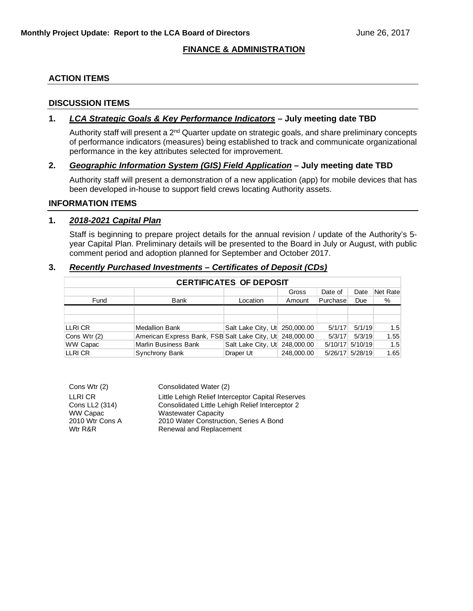#### **FINANCE & ADMINISTRATION**

#### **ACTION ITEMS**

#### **DISCUSSION ITEMS**

#### **1.** *LCA Strategic Goals & Key Performance Indicators* **– July meeting date TBD**

Authority staff will present a 2<sup>nd</sup> Quarter update on strategic goals, and share preliminary concepts of performance indicators (measures) being established to track and communicate organizational performance in the key attributes selected for improvement.

#### **2.** *Geographic Information System (GIS) Field Application* **– July meeting date TBD**

Authority staff will present a demonstration of a new application (app) for mobile devices that has been developed in-house to support field crews locating Authority assets.

#### **INFORMATION ITEMS**

#### **1.** *2018-2021 Capital Plan*

Staff is beginning to prepare project details for the annual revision / update of the Authority's 5 year Capital Plan. Preliminary details will be presented to the Board in July or August, with public comment period and adoption planned for September and October 2017.

#### **3.** *Recently Purchased Investments – Certificates of Deposit (CDs)*

| <b>CERTIFICATES OF DEPOSIT</b> |                                                          |                               |            |          |                 |          |  |  |  |  |  |
|--------------------------------|----------------------------------------------------------|-------------------------------|------------|----------|-----------------|----------|--|--|--|--|--|
|                                |                                                          |                               | Gross      | Date of  | Date            | Net Rate |  |  |  |  |  |
| Fund                           | Bank                                                     | Location                      | Amount     | Purchase | Due             | $\%$     |  |  |  |  |  |
|                                |                                                          |                               |            |          |                 |          |  |  |  |  |  |
|                                |                                                          |                               |            |          |                 |          |  |  |  |  |  |
| LLRI CR                        | Medallion Bank                                           | Salt Lake City, Ut 250,000.00 |            | 5/1/17   | 5/1/19          | 1.5      |  |  |  |  |  |
| Cons Wtr (2)                   | American Express Bank, FSB Salt Lake City, Ut 248,000.00 |                               |            | 5/3/17   | 5/3/19          | 1.55     |  |  |  |  |  |
| WW Capac                       | <b>Marlin Business Bank</b>                              | Salt Lake City, Ut 248,000.00 |            |          | 5/10/17 5/10/19 | 1.5      |  |  |  |  |  |
| <b>LLRICR</b>                  | Synchrony Bank                                           | Draper Ut                     | 248,000,00 |          | 5/26/17 5/28/19 | 1.65     |  |  |  |  |  |

| Cons Wtr (2)    | Consolidated Water (2)                            |
|-----------------|---------------------------------------------------|
| LLRI CR         | Little Lehigh Relief Interceptor Capital Reserves |
| Cons LL2 (314)  | Consolidated Little Lehigh Relief Interceptor 2   |
| WW Capac        | <b>Wastewater Capacity</b>                        |
| 2010 Wtr Cons A | 2010 Water Construction, Series A Bond            |
| Wtr R&R         | Renewal and Replacement                           |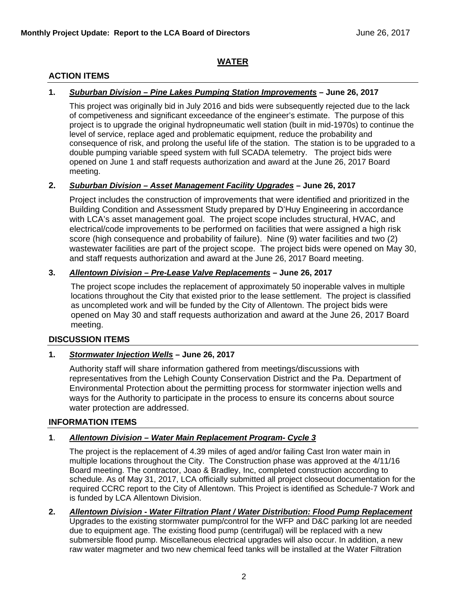#### **WATER**

#### **ACTION ITEMS**

#### **1.** *Suburban Division – Pine Lakes Pumping Station Improvements* **– June 26, 2017**

This project was originally bid in July 2016 and bids were subsequently rejected due to the lack of competiveness and significant exceedance of the engineer's estimate. The purpose of this project is to upgrade the original hydropneumatic well station (built in mid-1970s) to continue the level of service, replace aged and problematic equipment, reduce the probability and consequence of risk, and prolong the useful life of the station. The station is to be upgraded to a double pumping variable speed system with full SCADA telemetry. The project bids were opened on June 1 and staff requests authorization and award at the June 26, 2017 Board meeting.

#### **2.** *Suburban Division – Asset Management Facility Upgrades* **– June 26, 2017**

Project includes the construction of improvements that were identified and prioritized in the Building Condition and Assessment Study prepared by D'Huy Engineering in accordance with LCA's asset management goal. The project scope includes structural, HVAC, and electrical/code improvements to be performed on facilities that were assigned a high risk score (high consequence and probability of failure). Nine (9) water facilities and two (2) wastewater facilities are part of the project scope. The project bids were opened on May 30, and staff requests authorization and award at the June 26, 2017 Board meeting.

#### **3.** *Allentown Division – Pre-Lease Valve Replacements* **– June 26, 2017**

The project scope includes the replacement of approximately 50 inoperable valves in multiple locations throughout the City that existed prior to the lease settlement. The project is classified as uncompleted work and will be funded by the City of Allentown. The project bids were opened on May 30 and staff requests authorization and award at the June 26, 2017 Board meeting.

#### **DISCUSSION ITEMS**

#### **1.** *Stormwater Injection Wells* **– June 26, 2017**

Authority staff will share information gathered from meetings/discussions with representatives from the Lehigh County Conservation District and the Pa. Department of Environmental Protection about the permitting process for stormwater injection wells and ways for the Authority to participate in the process to ensure its concerns about source water protection are addressed.

#### **INFORMATION ITEMS**

#### **1**. *Allentown Division – Water Main Replacement Program- Cycle 3*

The project is the replacement of 4.39 miles of aged and/or failing Cast Iron water main in multiple locations throughout the City. The Construction phase was approved at the 4/11/16 Board meeting. The contractor, Joao & Bradley, Inc, completed construction according to schedule. As of May 31, 2017, LCA officially submitted all project closeout documentation for the required CCRC report to the City of Allentown. This Project is identified as Schedule-7 Work and is funded by LCA Allentown Division.

**2.** *Allentown Division - Water Filtration Plant / Water Distribution: Flood Pump Replacement* Upgrades to the existing stormwater pump/control for the WFP and D&C parking lot are needed due to equipment age. The existing flood pump (centrifugal) will be replaced with a new submersible flood pump. Miscellaneous electrical upgrades will also occur. In addition, a new raw water magmeter and two new chemical feed tanks will be installed at the Water Filtration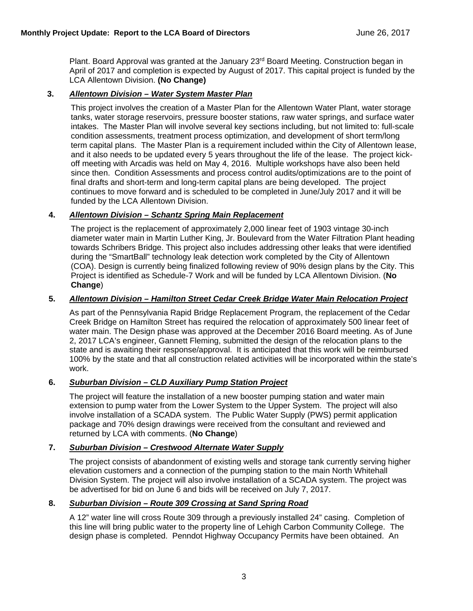Plant. Board Approval was granted at the January 23<sup>rd</sup> Board Meeting. Construction began in April of 2017 and completion is expected by August of 2017. This capital project is funded by the LCA Allentown Division. **(No Change)**

#### **3.** *Allentown Division – Water System Master Plan*

This project involves the creation of a Master Plan for the Allentown Water Plant, water storage tanks, water storage reservoirs, pressure booster stations, raw water springs, and surface water intakes. The Master Plan will involve several key sections including, but not limited to: full-scale condition assessments, treatment process optimization, and development of short term/long term capital plans. The Master Plan is a requirement included within the City of Allentown lease, and it also needs to be updated every 5 years throughout the life of the lease. The project kickoff meeting with Arcadis was held on May 4, 2016. Multiple workshops have also been held since then. Condition Assessments and process control audits/optimizations are to the point of final drafts and short-term and long-term capital plans are being developed. The project continues to move forward and is scheduled to be completed in June/July 2017 and it will be funded by the LCA Allentown Division.

#### **4.** *Allentown Division – Schantz Spring Main Replacement*

The project is the replacement of approximately 2,000 linear feet of 1903 vintage 30-inch diameter water main in Martin Luther King, Jr. Boulevard from the Water Filtration Plant heading towards Schribers Bridge. This project also includes addressing other leaks that were identified during the "SmartBall" technology leak detection work completed by the City of Allentown (COA). Design is currently being finalized following review of 90% design plans by the City. This Project is identified as Schedule-7 Work and will be funded by LCA Allentown Division. (**No Change**)

#### **5.** *Allentown Division – Hamilton Street Cedar Creek Bridge Water Main Relocation Project*

As part of the Pennsylvania Rapid Bridge Replacement Program, the replacement of the Cedar Creek Bridge on Hamilton Street has required the relocation of approximately 500 linear feet of water main. The Design phase was approved at the December 2016 Board meeting. As of June 2, 2017 LCA's engineer, Gannett Fleming, submitted the design of the relocation plans to the state and is awaiting their response/approval. It is anticipated that this work will be reimbursed 100% by the state and that all construction related activities will be incorporated within the state's work.

#### **6.** *Suburban Division – CLD Auxiliary Pump Station Project*

The project will feature the installation of a new booster pumping station and water main extension to pump water from the Lower System to the Upper System. The project will also involve installation of a SCADA system. The Public Water Supply (PWS) permit application package and 70% design drawings were received from the consultant and reviewed and returned by LCA with comments. (**No Change**)

#### **7.** *Suburban Division – Crestwood Alternate Water Supply*

The project consists of abandonment of existing wells and storage tank currently serving higher elevation customers and a connection of the pumping station to the main North Whitehall Division System. The project will also involve installation of a SCADA system. The project was be advertised for bid on June 6 and bids will be received on July 7, 2017.

#### **8.** *Suburban Division – Route 309 Crossing at Sand Spring Road*

A 12" water line will cross Route 309 through a previously installed 24" casing. Completion of this line will bring public water to the property line of Lehigh Carbon Community College. The design phase is completed. Penndot Highway Occupancy Permits have been obtained. An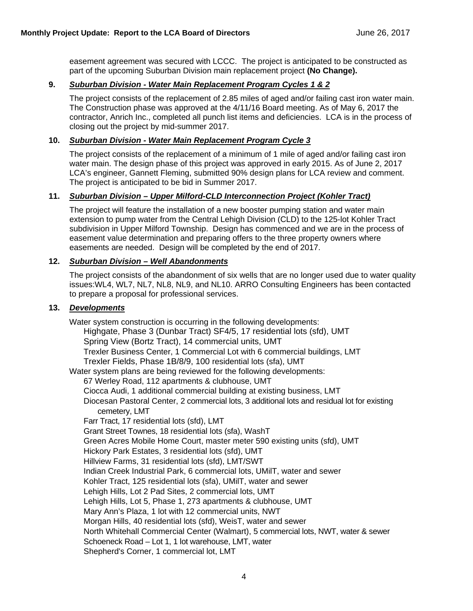easement agreement was secured with LCCC. The project is anticipated to be constructed as part of the upcoming Suburban Division main replacement project **(No Change).**

#### **9.** *Suburban Division - Water Main Replacement Program Cycles 1 & 2*

The project consists of the replacement of 2.85 miles of aged and/or failing cast iron water main. The Construction phase was approved at the 4/11/16 Board meeting. As of May 6, 2017 the contractor, Anrich Inc., completed all punch list items and deficiencies. LCA is in the process of closing out the project by mid-summer 2017.

#### **10.** *Suburban Division - Water Main Replacement Program Cycle 3*

The project consists of the replacement of a minimum of 1 mile of aged and/or failing cast iron water main. The design phase of this project was approved in early 2015. As of June 2, 2017 LCA's engineer, Gannett Fleming, submitted 90% design plans for LCA review and comment. The project is anticipated to be bid in Summer 2017.

#### **11.** *Suburban Division – Upper Milford-CLD Interconnection Project (Kohler Tract)*

The project will feature the installation of a new booster pumping station and water main extension to pump water from the Central Lehigh Division (CLD) to the 125-lot Kohler Tract subdivision in Upper Milford Township. Design has commenced and we are in the process of easement value determination and preparing offers to the three property owners where easements are needed. Design will be completed by the end of 2017.

#### **12.** *Suburban Division – Well Abandonments*

The project consists of the abandonment of six wells that are no longer used due to water quality issues:WL4, WL7, NL7, NL8, NL9, and NL10. ARRO Consulting Engineers has been contacted to prepare a proposal for professional services.

#### **13.** *Developments*

Water system construction is occurring in the following developments: Highgate, Phase 3 (Dunbar Tract) SF4/5, 17 residential lots (sfd), UMT Spring View (Bortz Tract), 14 commercial units, UMT Trexler Business Center, 1 Commercial Lot with 6 commercial buildings, LMT Trexler Fields, Phase 1B/8/9, 100 residential lots (sfa), UMT Water system plans are being reviewed for the following developments: 67 Werley Road, 112 apartments & clubhouse, UMT Ciocca Audi, 1 additional commercial building at existing business, LMT Diocesan Pastoral Center, 2 commercial lots, 3 additional lots and residual lot for existing cemetery, LMT Farr Tract, 17 residential lots (sfd), LMT Grant Street Townes, 18 residential lots (sfa), WashT Green Acres Mobile Home Court, master meter 590 existing units (sfd), UMT Hickory Park Estates, 3 residential lots (sfd), UMT Hillview Farms, 31 residential lots (sfd), LMT/SWT Indian Creek Industrial Park, 6 commercial lots, UMilT, water and sewer Kohler Tract, 125 residential lots (sfa), UMilT, water and sewer Lehigh Hills, Lot 2 Pad Sites, 2 commercial lots, UMT Lehigh Hills, Lot 5, Phase 1, 273 apartments & clubhouse, UMT Mary Ann's Plaza, 1 lot with 12 commercial units, NWT Morgan Hills, 40 residential lots (sfd), WeisT, water and sewer North Whitehall Commercial Center (Walmart), 5 commercial lots, NWT, water & sewer Schoeneck Road – Lot 1, 1 lot warehouse, LMT, water Shepherd's Corner, 1 commercial lot, LMT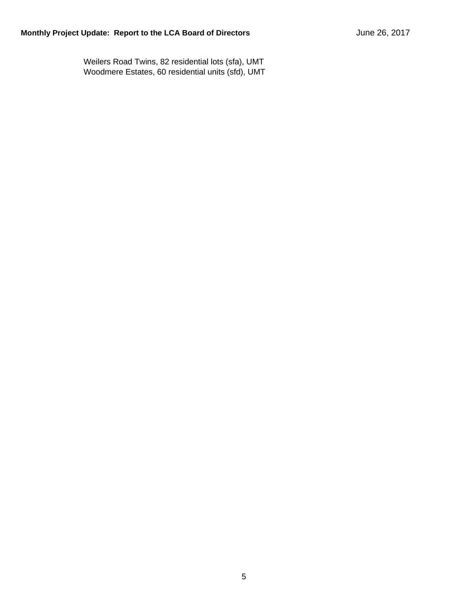Weilers Road Twins, 82 residential lots (sfa), UMT Woodmere Estates, 60 residential units (sfd), UMT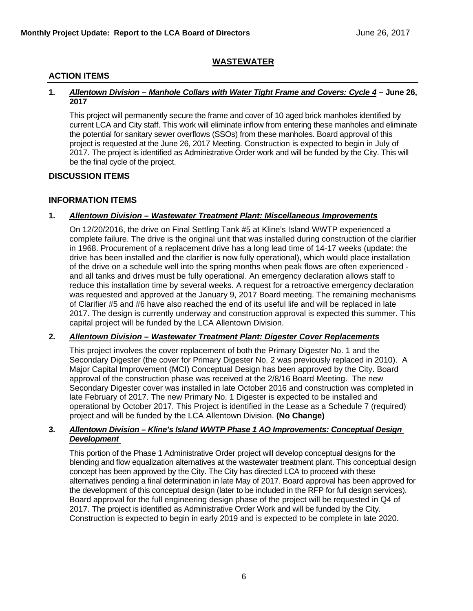#### **WASTEWATER**

#### **ACTION ITEMS**

#### **1.** *Allentown Division – Manhole Collars with Water Tight Frame and Covers: Cycle 4* **– June 26, 2017**

This project will permanently secure the frame and cover of 10 aged brick manholes identified by current LCA and City staff. This work will eliminate inflow from entering these manholes and eliminate the potential for sanitary sewer overflows (SSOs) from these manholes. Board approval of this project is requested at the June 26, 2017 Meeting. Construction is expected to begin in July of 2017. The project is identified as Administrative Order work and will be funded by the City. This will be the final cycle of the project.

#### **DISCUSSION ITEMS**

#### **INFORMATION ITEMS**

#### **1.** *Allentown Division – Wastewater Treatment Plant: Miscellaneous Improvements*

On 12/20/2016, the drive on Final Settling Tank #5 at Kline's Island WWTP experienced a complete failure. The drive is the original unit that was installed during construction of the clarifier in 1968. Procurement of a replacement drive has a long lead time of 14-17 weeks (update: the drive has been installed and the clarifier is now fully operational), which would place installation of the drive on a schedule well into the spring months when peak flows are often experienced and all tanks and drives must be fully operational. An emergency declaration allows staff to reduce this installation time by several weeks. A request for a retroactive emergency declaration was requested and approved at the January 9, 2017 Board meeting. The remaining mechanisms of Clarifier #5 and #6 have also reached the end of its useful life and will be replaced in late 2017. The design is currently underway and construction approval is expected this summer. This capital project will be funded by the LCA Allentown Division.

#### **2.** *Allentown Division – Wastewater Treatment Plant: Digester Cover Replacements*

This project involves the cover replacement of both the Primary Digester No. 1 and the Secondary Digester (the cover for Primary Digester No. 2 was previously replaced in 2010). A Major Capital Improvement (MCI) Conceptual Design has been approved by the City. Board approval of the construction phase was received at the 2/8/16 Board Meeting. The new Secondary Digester cover was installed in late October 2016 and construction was completed in late February of 2017. The new Primary No. 1 Digester is expected to be installed and operational by October 2017. This Project is identified in the Lease as a Schedule 7 (required) project and will be funded by the LCA Allentown Division. **(No Change)**

#### **3.** *Allentown Division – Kline's Island WWTP Phase 1 AO Improvements: Conceptual Design Development*

This portion of the Phase 1 Administrative Order project will develop conceptual designs for the blending and flow equalization alternatives at the wastewater treatment plant. This conceptual design concept has been approved by the City. The City has directed LCA to proceed with these alternatives pending a final determination in late May of 2017. Board approval has been approved for the development of this conceptual design (later to be included in the RFP for full design services). Board approval for the full engineering design phase of the project will be requested in Q4 of 2017. The project is identified as Administrative Order Work and will be funded by the City. Construction is expected to begin in early 2019 and is expected to be complete in late 2020.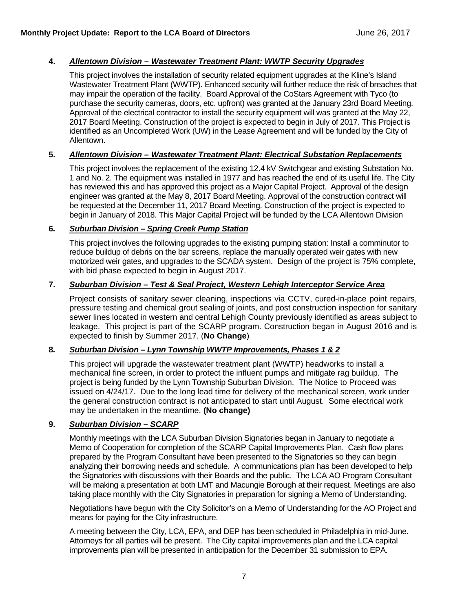#### **4.** *Allentown Division – Wastewater Treatment Plant: WWTP Security Upgrades*

This project involves the installation of security related equipment upgrades at the Kline's Island Wastewater Treatment Plant (WWTP). Enhanced security will further reduce the risk of breaches that may impair the operation of the facility. Board Approval of the CoStars Agreement with Tyco (to purchase the security cameras, doors, etc. upfront) was granted at the January 23rd Board Meeting. Approval of the electrical contractor to install the security equipment will was granted at the May 22, 2017 Board Meeting. Construction of the project is expected to begin in July of 2017. This Project is identified as an Uncompleted Work (UW) in the Lease Agreement and will be funded by the City of Allentown.

#### **5.** *Allentown Division – Wastewater Treatment Plant: Electrical Substation Replacements*

This project involves the replacement of the existing 12.4 kV Switchgear and existing Substation No. 1 and No. 2. The equipment was installed in 1977 and has reached the end of its useful life. The City has reviewed this and has approved this project as a Major Capital Project. Approval of the design engineer was granted at the May 8, 2017 Board Meeting. Approval of the construction contract will be requested at the December 11, 2017 Board Meeting. Construction of the project is expected to begin in January of 2018. This Major Capital Project will be funded by the LCA Allentown Division

#### **6.** *Suburban Division – Spring Creek Pump Station*

This project involves the following upgrades to the existing pumping station: Install a comminutor to reduce buildup of debris on the bar screens, replace the manually operated weir gates with new motorized weir gates, and upgrades to the SCADA system. Design of the project is 75% complete, with bid phase expected to begin in August 2017.

#### **7.** *Suburban Division – Test & Seal Project, Western Lehigh Interceptor Service Area*

Project consists of sanitary sewer cleaning, inspections via CCTV, cured-in-place point repairs, pressure testing and chemical grout sealing of joints, and post construction inspection for sanitary sewer lines located in western and central Lehigh County previously identified as areas subject to leakage. This project is part of the SCARP program. Construction began in August 2016 and is expected to finish by Summer 2017. (**No Change**)

#### **8.** *Suburban Division – Lynn Township WWTP Improvements, Phases 1 & 2*

This project will upgrade the wastewater treatment plant (WWTP) headworks to install a mechanical fine screen, in order to protect the influent pumps and mitigate rag buildup. The project is being funded by the Lynn Township Suburban Division. The Notice to Proceed was issued on 4/24/17. Due to the long lead time for delivery of the mechanical screen, work under the general construction contract is not anticipated to start until August. Some electrical work may be undertaken in the meantime. **(No change)**

#### **9.** *Suburban Division – SCARP*

Monthly meetings with the LCA Suburban Division Signatories began in January to negotiate a Memo of Cooperation for completion of the SCARP Capital Improvements Plan. Cash flow plans prepared by the Program Consultant have been presented to the Signatories so they can begin analyzing their borrowing needs and schedule. A communications plan has been developed to help the Signatories with discussions with their Boards and the public. The LCA AO Program Consultant will be making a presentation at both LMT and Macungie Borough at their request. Meetings are also taking place monthly with the City Signatories in preparation for signing a Memo of Understanding.

Negotiations have begun with the City Solicitor's on a Memo of Understanding for the AO Project and means for paying for the City infrastructure.

A meeting between the City, LCA, EPA, and DEP has been scheduled in Philadelphia in mid-June. Attorneys for all parties will be present. The City capital improvements plan and the LCA capital improvements plan will be presented in anticipation for the December 31 submission to EPA.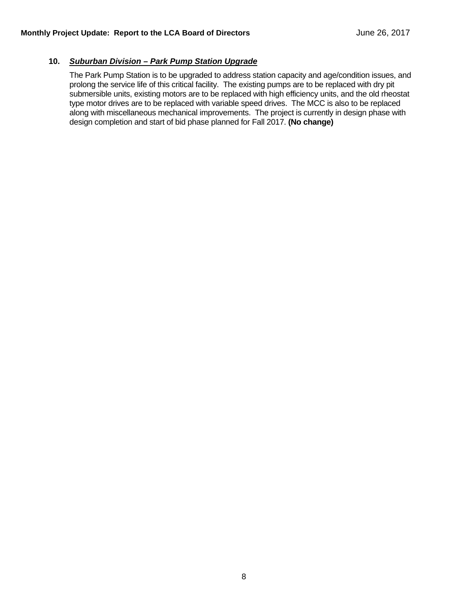#### **10.** *Suburban Division – Park Pump Station Upgrade*

The Park Pump Station is to be upgraded to address station capacity and age/condition issues, and prolong the service life of this critical facility. The existing pumps are to be replaced with dry pit submersible units, existing motors are to be replaced with high efficiency units, and the old rheostat type motor drives are to be replaced with variable speed drives. The MCC is also to be replaced along with miscellaneous mechanical improvements. The project is currently in design phase with design completion and start of bid phase planned for Fall 2017. **(No change)**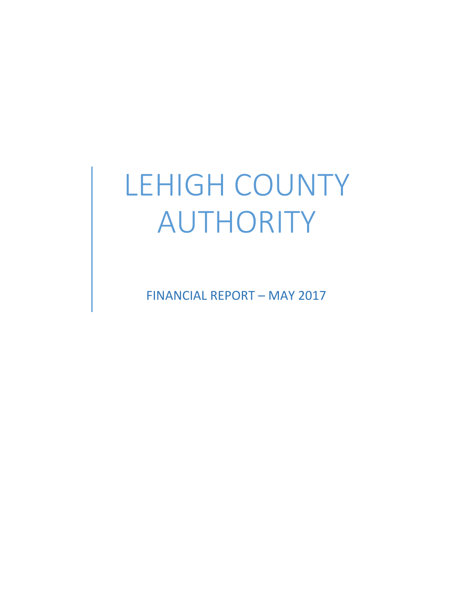# LEHIGH COUNTY AUTHORITY

FINANCIAL REPORT – MAY 2017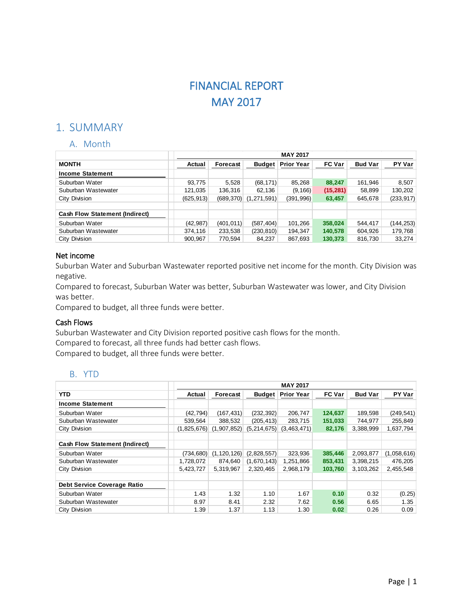## FINANCIAL REPORT MAY 2017

## 1. SUMMARY

#### A. Month

|                                       |            |            |               | <b>MAY 2017</b>   |               |                |            |
|---------------------------------------|------------|------------|---------------|-------------------|---------------|----------------|------------|
| <b>MONTH</b>                          | Actual     | Forecast   | <b>Budget</b> | <b>Prior Year</b> | <b>FC Var</b> | <b>Bud Var</b> | PY Var     |
| <b>Income Statement</b>               |            |            |               |                   |               |                |            |
| Suburban Water                        | 93,775     | 5,528      | (68, 171)     | 85,268            | 88,247        | 161,946        | 8,507      |
| Suburban Wastewater                   | 121,035    | 136,316    | 62,136        | (9, 166)          | (15, 281)     | 58,899         | 130,202    |
| City Division                         | (625, 913) | (689, 370) | (1,271,591)   | (391,996)         | 63,457        | 645,678        | (233, 917) |
|                                       |            |            |               |                   |               |                |            |
| <b>Cash Flow Statement (Indirect)</b> |            |            |               |                   |               |                |            |
| Suburban Water                        | (42, 987)  | (401, 011) | (587, 404)    | 101,266           | 358,024       | 544.417        | (144, 253) |
| Suburban Wastewater                   | 374,116    | 233,538    | (230, 810)    | 194,347           | 140,578       | 604,926        | 179,768    |
| City Division                         | 900,967    | 770,594    | 84,237        | 867,693           | 130,373       | 816,730        | 33,274     |

#### Net income

Suburban Water and Suburban Wastewater reported positive net income for the month. City Division was negative.

Compared to forecast, Suburban Water was better, Suburban Wastewater was lower, and City Division was better.

Compared to budget, all three funds were better.

#### Cash Flows

Suburban Wastewater and City Division reported positive cash flows for the month.

Compared to forecast, all three funds had better cash flows.

Compared to budget, all three funds were better.

#### B. YTD

|                                       |             |               |               | <b>MAY 2017</b>   |               |                |             |
|---------------------------------------|-------------|---------------|---------------|-------------------|---------------|----------------|-------------|
| <b>YTD</b>                            | Actual      | Forecast      | <b>Budget</b> | <b>Prior Year</b> | <b>FC Var</b> | <b>Bud Var</b> | PY Var      |
| <b>Income Statement</b>               |             |               |               |                   |               |                |             |
| Suburban Water                        | (42, 794)   | (167, 431)    | (232, 392)    | 206,747           | 124,637       | 189,598        | (249, 541)  |
| Suburban Wastewater                   | 539.564     | 388.532       | (205, 413)    | 283,715           | 151,033       | 744.977        | 255,849     |
| City Division                         | (1,825,676) | (1,907,852)   | (5,214,675)   | (3,463,471)       | 82,176        | 3,388,999      | 1,637,794   |
|                                       |             |               |               |                   |               |                |             |
| <b>Cash Flow Statement (Indirect)</b> |             |               |               |                   |               |                |             |
| Suburban Water                        | (734, 680)  | (1, 120, 126) | (2,828,557)   | 323,936           | 385,446       | 2,093,877      | (1,058,616) |
| Suburban Wastewater                   | 1,728,072   | 874.640       | (1,670,143)   | 1,251,866         | 853,431       | 3,398,215      | 476,205     |
| City Division                         | 5,423,727   | 5,319,967     | 2.320.465     | 2.968.179         | 103,760       | 3,103,262      | 2,455,548   |
|                                       |             |               |               |                   |               |                |             |
| Debt Service Coverage Ratio           |             |               |               |                   |               |                |             |
| Suburban Water                        | 1.43        | 1.32          | 1.10          | 1.67              | 0.10          | 0.32           | (0.25)      |
| Suburban Wastewater                   | 8.97        | 8.41          | 2.32          | 7.62              | 0.56          | 6.65           | 1.35        |
| City Division                         | 1.39        | 1.37          | 1.13          | 1.30              | 0.02          | 0.26           | 0.09        |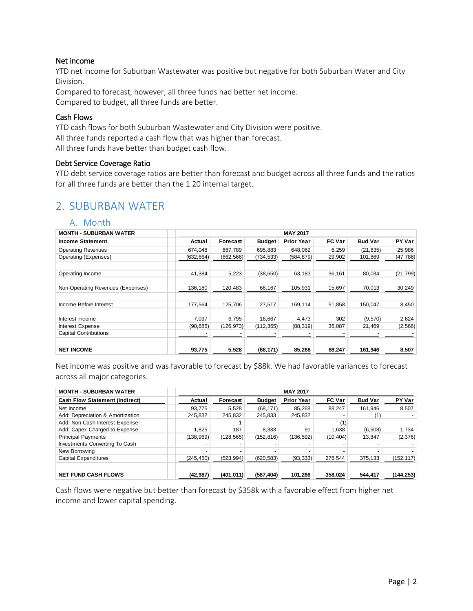#### Net income

YTD net income for Suburban Wastewater was positive but negative for both Suburban Water and City Division.

Compared to forecast, however, all three funds had better net income. Compared to budget, all three funds are better.

#### Cash Flows

YTD cash flows for both Suburban Wastewater and City Division were positive. All three funds reported a cash flow that was higher than forecast. All three funds have better than budget cash flow.

#### Debt Service Coverage Ratio

YTD debt service coverage ratios are better than forecast and budget across all three funds and the ratios for all three funds are better than the 1.20 internal target.

## 2. SUBURBAN WATER

#### A. Month

| <b>MONTH - SUBURBAN WATER</b>     |            |            |               | <b>MAY 2017</b>   |               |                |           |
|-----------------------------------|------------|------------|---------------|-------------------|---------------|----------------|-----------|
| <b>Income Statement</b>           | Actual     | Forecast   | <b>Budget</b> | <b>Prior Year</b> | <b>FC Var</b> | <b>Bud Var</b> | PY Var    |
| <b>Operating Revenues</b>         | 674.048    | 667,789    | 695,883       | 648,062           | 6,259         | (21, 835)      | 25,986    |
| Operating (Expenses)              | (632, 664) | (662, 566) | (734, 533)    | (584, 879)        | 29,902        | 101,869        | (47, 786) |
|                                   |            |            |               |                   |               |                |           |
| Operating Income                  | 41.384     | 5,223      | (38, 650)     | 63,183            | 36,161        | 80,034         | (21, 799) |
|                                   |            |            |               |                   |               |                |           |
| Non-Operating Revenues (Expenses) | 136,180    | 120,483    | 66,167        | 105,931           | 15,697        | 70,013         | 30,249    |
|                                   |            |            |               |                   |               |                |           |
| Income Before Interest            | 177,564    | 125,706    | 27,517        | 169,114           | 51,858        | 150,047        | 8,450     |
|                                   |            |            |               |                   |               |                |           |
| Interest Income                   | 7,097      | 6,795      | 16,667        | 4,473             | 302           | (9,570)        | 2,624     |
| Interest Expense                  | (90, 886)  | (126, 973) | (112, 355)    | (88, 319)         | 36,087        | 21,469         | (2, 566)  |
| <b>Capital Contributions</b>      |            |            |               |                   |               |                |           |
|                                   |            |            |               |                   |               |                |           |
| <b>NET INCOME</b>                 | 93,775     | 5,528      | (68, 171)     | 85,268            | 88,247        | 161,946        | 8,507     |

Net income was positive and was favorable to forecast by \$88k. We had favorable variances to forecast across all major categories.

| <b>MONTH - SUBURBAN WATER</b>         |            | <b>MAY 2017</b> |               |                   |               |                |           |  |
|---------------------------------------|------------|-----------------|---------------|-------------------|---------------|----------------|-----------|--|
| <b>Cash Flow Statement (Indirect)</b> | Actual     | Forecast        | <b>Budget</b> | <b>Prior Year</b> | <b>FC Var</b> | <b>Bud Var</b> | PY Var    |  |
| Net Income                            | 93,775     | 5,528           | (68, 171)     | 85,268            | 88,247        | 161,946        | 8,507     |  |
| Add: Depreciation & Amortization      | 245,832    | 245,832         | 245.833       | 245,832           |               | (1)            |           |  |
| Add: Non-Cash Interest Expense        |            |                 |               |                   | (1)           |                |           |  |
| Add: Capex Charged to Expense         | 1,825      | 187             | 8.333         | 91                | 1,638         | (6,508)        | 1,734     |  |
| <b>Principal Payments</b>             | (138, 969) | (128, 565)      | (152, 816)    | (136, 592)        | (10, 404)     | 13,847         | (2,376)   |  |
| Investments Converting To Cash        |            |                 |               |                   |               |                |           |  |
| New Borrowing                         |            |                 |               |                   |               |                |           |  |
| <b>Capital Expenditures</b>           | (245, 450) | (523, 994)      | (620, 583)    | (93, 333)         | 278,544       | 375,133        | (152,117) |  |
|                                       |            |                 |               |                   |               |                |           |  |
| <b>NET FUND CASH FLOWS</b>            | (42, 987)  | (401, 011)      | (587, 404)    | 101,266           | 358,024       | 544.417        | (144,253) |  |

Cash flows were negative but better than forecast by \$358k with a favorable effect from higher net income and lower capital spending.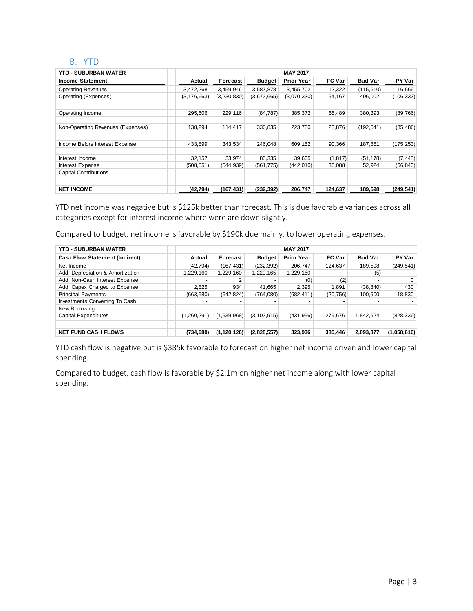#### B. YTD

| <b>YTD - SUBURBAN WATER</b>       |               |             |               | <b>MAY 2017</b>   |               |                |            |
|-----------------------------------|---------------|-------------|---------------|-------------------|---------------|----------------|------------|
| <b>Income Statement</b>           | Actual        | Forecast    | <b>Budget</b> | <b>Prior Year</b> | <b>FC Var</b> | <b>Bud Var</b> | PY Var     |
| <b>Operating Revenues</b>         | 3,472,268     | 3,459,946   | 3,587,878     | 3,455,702         | 12,322        | (115, 610)     | 16,566     |
| Operating (Expenses)              | (3, 176, 663) | (3,230,830) | (3,672,665)   | (3,070,330)       | 54,167        | 496,002        | (106, 333) |
|                                   |               |             |               |                   |               |                |            |
| Operating Income                  | 295,606       | 229,116     | (84, 787)     | 385,372           | 66.489        | 380,393        | (89, 766)  |
|                                   |               |             |               |                   |               |                |            |
| Non-Operating Revenues (Expenses) | 138,294       | 114,417     | 330,835       | 223,780           | 23,876        | (192,541)      | (85, 486)  |
|                                   |               |             |               |                   |               |                |            |
| Income Before Interest Expense    | 433,899       | 343,534     | 246.048       | 609,152           | 90,366        | 187,851        | (175, 253) |
|                                   |               |             |               |                   |               |                |            |
| Interest Income                   | 32,157        | 33.974      | 83,335        | 39,605            | (1, 817)      | (51, 178)      | (7, 448)   |
| Interest Expense                  | (508, 851)    | (544, 939)  | (561, 775)    | (442, 010)        | 36,088        | 52,924         | (66, 840)  |
| <b>Capital Contributions</b>      |               |             |               |                   |               |                |            |
|                                   |               |             |               |                   |               |                |            |
| <b>NET INCOME</b>                 | (42, 794)     | (167, 431)  | (232, 392)    | 206,747           | 124,637       | 189,598        | (249, 541) |

YTD net income was negative but is \$125k better than forecast. This is due favorable variances across all categories except for interest income where were are down slightly.

Compared to budget, net income is favorable by \$190k due mainly, to lower operating expenses.

| <b>YTD - SUBURBAN WATER</b>           |           | <b>MAY 2017</b> |               |                   |               |                |             |  |
|---------------------------------------|-----------|-----------------|---------------|-------------------|---------------|----------------|-------------|--|
| <b>Cash Flow Statement (Indirect)</b> | Actual    | Forecast        | <b>Budget</b> | <b>Prior Year</b> | <b>FC Var</b> | <b>Bud Var</b> | PY Var      |  |
| Net Income                            | (42, 794) | (167,431)       | (232, 392)    | 206.747           | 124,637       | 189,598        | (249, 541)  |  |
| Add: Depreciation & Amortization      | 1,229,160 | 1,229,160       | 1,229,165     | 1,229,160         |               | (5)            |             |  |
| Add: Non-Cash Interest Expense        |           | 2               |               | (0)               | (2)           |                |             |  |
| Add: Capex Charged to Expense         | 2,825     | 934             | 41.665        | 2.395             | 1.891         | (38, 840)      | 430         |  |
| <b>Principal Payments</b>             | (663,580) | (642, 824)      | (764,080)     | (682, 411)        | (20, 756)     | 100,500        | 18,830      |  |
| Investments Converting To Cash        |           |                 |               |                   |               |                |             |  |
| New Borrowing                         |           |                 |               |                   |               |                |             |  |
| <b>Capital Expenditures</b>           | ,260,291) | (1,539,968)     | (3, 102, 915) | (431, 956)        | 279,676       | 1,842,624      | (828, 336)  |  |
|                                       |           |                 |               |                   |               |                |             |  |
| <b>NET FUND CASH FLOWS</b>            | (734,680) | (1, 120, 126)   | (2,828,557)   | 323,936           | 385,446       | 2,093,877      | (1,058,616) |  |

YTD cash flow is negative but is \$385k favorable to forecast on higher net income driven and lower capital spending.

Compared to budget, cash flow is favorable by \$2.1m on higher net income along with lower capital spending.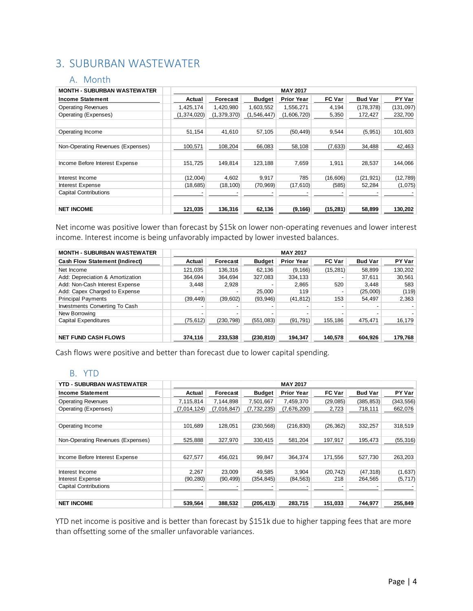## 3. SUBURBAN WASTEWATER

#### A. Month

| <b>MONTH - SUBURBAN WASTEWATER</b> |             |             |               | <b>MAY 2017</b>   |               |                |            |
|------------------------------------|-------------|-------------|---------------|-------------------|---------------|----------------|------------|
| <b>Income Statement</b>            | Actual      | Forecast    | <b>Budget</b> | <b>Prior Year</b> | <b>FC Var</b> | <b>Bud Var</b> | PY Var     |
| <b>Operating Revenues</b>          | 1,425,174   | 1,420,980   | 1,603,552     | 1,556,271         | 4,194         | (178, 378)     | (131, 097) |
| Operating (Expenses)               | (1,374,020) | (1,379,370) | (1, 546, 447) | (1,606,720)       | 5,350         | 172,427        | 232,700    |
|                                    |             |             |               |                   |               |                |            |
| Operating Income                   | 51,154      | 41,610      | 57,105        | (50, 449)         | 9,544         | (5, 951)       | 101,603    |
|                                    |             |             |               |                   |               |                |            |
| Non-Operating Revenues (Expenses)  | 100,571     | 108,204     | 66,083        | 58,108            | (7,633)       | 34,488         | 42,463     |
|                                    |             |             |               |                   |               |                |            |
| Income Before Interest Expense     | 151.725     | 149.814     | 123.188       | 7.659             | 1.911         | 28.537         | 144.066    |
|                                    |             |             |               |                   |               |                |            |
| Interest Income                    | (12,004)    | 4,602       | 9,917         | 785               | (16, 606)     | (21, 921)      | (12, 789)  |
| Interest Expense                   | (18, 685)   | (18, 100)   | (70, 969)     | (17, 610)         | (585)         | 52,284         | (1,075)    |
| <b>Capital Contributions</b>       |             |             |               |                   |               |                |            |
|                                    |             |             |               |                   |               |                |            |
| <b>NET INCOME</b>                  | 121,035     | 136,316     | 62,136        | (9, 166)          | (15, 281)     | 58,899         | 130,202    |

Net income was positive lower than forecast by \$15k on lower non-operating revenues and lower interest income. Interest income is being unfavorably impacted by lower invested balances.

| <b>MONTH - SUBURBAN WASTEWATER</b>    |                          |            |               | <b>MAY 2017</b>   |               |                |         |
|---------------------------------------|--------------------------|------------|---------------|-------------------|---------------|----------------|---------|
| <b>Cash Flow Statement (Indirect)</b> | Actual                   | Forecast   | <b>Budget</b> | <b>Prior Year</b> | <b>FC Var</b> | <b>Bud Var</b> | PY Var  |
| Net Income                            | 121,035                  | 136,316    | 62.136        | (9, 166)          | (15, 281)     | 58,899         | 130,202 |
| Add: Depreciation & Amortization      | 364.694                  | 364.694    | 327,083       | 334,133           |               | 37.611         | 30,561  |
| Add: Non-Cash Interest Expense        | 3,448                    | 2,928      |               | 2,865             | 520           | 3,448          | 583     |
| Add: Capex Charged to Expense         |                          |            | 25,000        | 119               |               | (25,000)       | (119)   |
| <b>Principal Payments</b>             | (39, 449)                | (39,602)   | (93, 946)     | (41, 812)         | 153           | 54.497         | 2,363   |
| Investments Converting To Cash        | $\overline{\phantom{a}}$ |            |               |                   |               |                |         |
| New Borrowing                         |                          |            |               |                   |               |                |         |
| <b>Capital Expenditures</b>           | (75, 612)                | (230, 798) | (551,083)     | (91, 791)         | 155,186       | 475,471        | 16,179  |
|                                       |                          |            |               |                   |               |                |         |
| <b>NET FUND CASH FLOWS</b>            | 374,116                  | 233,538    | (230, 810)    | 194,347           | 140,578       | 604,926        | 179,768 |

Cash flows were positive and better than forecast due to lower capital spending.

#### B. YTD

| <b>YTD - SUBURBAN WASTEWATER</b>  |             |             |               | <b>MAY 2017</b>   |               |                |            |
|-----------------------------------|-------------|-------------|---------------|-------------------|---------------|----------------|------------|
| <b>Income Statement</b>           | Actual      | Forecast    | <b>Budget</b> | <b>Prior Year</b> | <b>FC Var</b> | <b>Bud Var</b> | PY Var     |
| <b>Operating Revenues</b>         | 7,115,814   | 7,144,898   | 7,501,667     | 7,459,370         | (29,085)      | (385, 853)     | (343, 556) |
| Operating (Expenses)              | (7,014,124) | (7,016,847) | (7, 732, 235) | (7,676,200)       | 2,723         | 718,111        | 662,076    |
|                                   |             |             |               |                   |               |                |            |
| Operating Income                  | 101,689     | 128.051     | (230, 568)    | (216, 830)        | (26, 362)     | 332,257        | 318,519    |
|                                   |             |             |               |                   |               |                |            |
| Non-Operating Revenues (Expenses) | 525,888     | 327,970     | 330,415       | 581,204           | 197,917       | 195,473        | (55, 316)  |
|                                   |             |             |               |                   |               |                |            |
| Income Before Interest Expense    | 627,577     | 456,021     | 99,847        | 364,374           | 171,556       | 527,730        | 263,203    |
|                                   |             |             |               |                   |               |                |            |
| Interest Income                   | 2,267       | 23.009      | 49,585        | 3,904             | (20, 742)     | (47, 318)      | (1,637)    |
| Interest Expense                  | (90, 280)   | (90, 499)   | (354, 845)    | (84, 563)         | 218           | 264,565        | (5,717)    |
| <b>Capital Contributions</b>      |             |             |               |                   |               |                |            |
|                                   |             |             |               |                   |               |                |            |
| <b>NET INCOME</b>                 | 539,564     | 388,532     | (205, 413)    | 283,715           | 151,033       | 744,977        | 255,849    |

YTD net income is positive and is better than forecast by \$151k due to higher tapping fees that are more than offsetting some of the smaller unfavorable variances.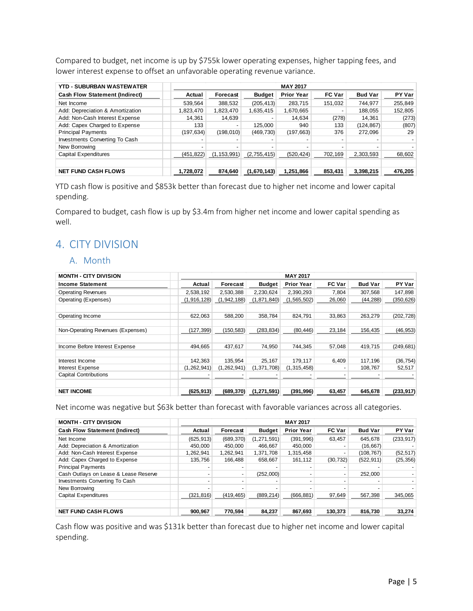Compared to budget, net income is up by \$755k lower operating expenses, higher tapping fees, and lower interest expense to offset an unfavorable operating revenue variance.

| <b>YTD - SUBURBAN WASTEWATER</b>      |            | <b>MAY 2017</b> |               |                   |               |                |         |  |  |
|---------------------------------------|------------|-----------------|---------------|-------------------|---------------|----------------|---------|--|--|
| <b>Cash Flow Statement (Indirect)</b> | Actual     | Forecast        | <b>Budget</b> | <b>Prior Year</b> | <b>FC Var</b> | <b>Bud Var</b> | PY Var  |  |  |
| Net Income                            | 539.564    | 388,532         | (205, 413)    | 283,715           | 151,032       | 744.977        | 255,849 |  |  |
| Add: Depreciation & Amortization      | 1,823,470  | 1,823,470       | 1,635,415     | 1,670,665         |               | 188,055        | 152,805 |  |  |
| Add: Non-Cash Interest Expense        | 14.361     | 14,639          |               | 14.634            | (278)         | 14.361         | (273)   |  |  |
| Add: Capex Charged to Expense         | 133        | -               | 125,000       | 940               | 133           | (124, 867)     | (807)   |  |  |
| <b>Principal Payments</b>             | (197, 634) | (198, 010)      | (469,730)     | (197, 663)        | 376           | 272,096        | 29      |  |  |
| Investments Converting To Cash        | -          |                 |               |                   |               |                |         |  |  |
| New Borrowing                         |            |                 |               |                   |               |                |         |  |  |
| <b>Capital Expenditures</b>           | (451, 822) | (1, 153, 991)   | (2,755,415)   | (520, 424)        | 702,169       | 2,303,593      | 68,602  |  |  |
|                                       |            |                 |               |                   |               |                |         |  |  |
| <b>NET FUND CASH FLOWS</b>            | 1.728.072  | 874,640         | (1,670,143)   | 1,251,866         | 853,431       | 3,398,215      | 476,205 |  |  |

YTD cash flow is positive and \$853k better than forecast due to higher net income and lower capital spending.

Compared to budget, cash flow is up by \$3.4m from higher net income and lower capital spending as well.

## 4. CITY DIVISION

#### A. Month

| <b>MONTH - CITY DIVISION</b>      |               |               |               | <b>MAY 2017</b>   |               |                |            |
|-----------------------------------|---------------|---------------|---------------|-------------------|---------------|----------------|------------|
| <b>Income Statement</b>           | Actual        | Forecast      | <b>Budget</b> | <b>Prior Year</b> | <b>FC Var</b> | <b>Bud Var</b> | PY Var     |
| <b>Operating Revenues</b>         | 2,538,192     | 2,530,388     | 2,230,624     | 2,390,293         | 7,804         | 307,568        | 147,898    |
| Operating (Expenses)              | (1,916,128)   | (1,942,188)   | (1,871,840)   | (1,565,502)       | 26,060        | (44, 288)      | (350, 626) |
|                                   |               |               |               |                   |               |                |            |
| Operating Income                  | 622.063       | 588,200       | 358.784       | 824.791           | 33.863        | 263,279        | (202, 728) |
|                                   |               |               |               |                   |               |                |            |
| Non-Operating Revenues (Expenses) | (127, 399)    | (150, 583)    | (283, 834)    | (80, 446)         | 23,184        | 156,435        | (46, 953)  |
|                                   |               |               |               |                   |               |                |            |
| Income Before Interest Expense    | 494.665       | 437,617       | 74.950        | 744,345           | 57,048        | 419,715        | (249, 681) |
|                                   |               |               |               |                   |               |                |            |
| Interest Income                   | 142,363       | 135.954       | 25.167        | 179.117           | 6,409         | 117,196        | (36, 754)  |
| <b>Interest Expense</b>           | (1, 262, 941) | (1, 262, 941) | (1, 371, 708) | (1,315,458)       |               | 108,767        | 52,517     |
| <b>Capital Contributions</b>      |               |               |               |                   |               |                |            |
|                                   |               |               |               |                   |               |                |            |
| <b>NET INCOME</b>                 | (625, 913)    | (689, 370)    | (1, 271, 591) | (391, 996)        | 63,457        | 645,678        | (233, 917) |

Net income was negative but \$63k better than forecast with favorable variances across all categories.

| <b>MONTH - CITY DIVISION</b>          |            |            |               | <b>MAY 2017</b>   |               |                |            |
|---------------------------------------|------------|------------|---------------|-------------------|---------------|----------------|------------|
| <b>Cash Flow Statement (Indirect)</b> | Actual     | Forecast   | <b>Budget</b> | <b>Prior Year</b> | <b>FC Var</b> | <b>Bud Var</b> | PY Var     |
| Net Income                            | (625, 913) | (689, 370) | (1, 271, 591) | (391, 996)        | 63.457        | 645.678        | (233, 917) |
| Add: Depreciation & Amortization      | 450.000    | 450.000    | 466.667       | 450.000           |               | (16, 667)      |            |
| Add: Non-Cash Interest Expense        | 1.262.941  | 1.262.941  | 1,371,708     | 1,315,458         |               | (108.767)      | (52, 517)  |
| Add: Capex Charged to Expense         | 135.756    | 166.488    | 658.667       | 161.112           | (30, 732)     | (522, 911)     | (25, 356)  |
| <b>Principal Payments</b>             |            |            |               |                   |               |                |            |
| Cash Outlays on Lease & Lease Reserve |            |            | (252,000)     |                   |               | 252.000        |            |
| Investments Converting To Cash        |            |            |               |                   |               |                |            |
| New Borrowing                         |            |            |               |                   |               |                |            |
| Capital Expenditures                  | (321, 816) | (419, 465) | (889, 214)    | (666, 881)        | 97,649        | 567,398        | 345,065    |
|                                       |            |            |               |                   |               |                |            |
| <b>NET FUND CASH FLOWS</b>            | 900,967    | 770,594    | 84,237        | 867,693           | 130,373       | 816,730        | 33,274     |

Cash flow was positive and was \$131k better than forecast due to higher net income and lower capital spending.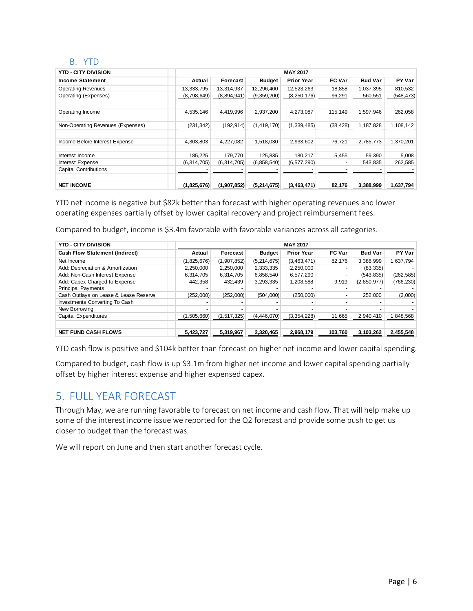#### B. YTD

| <b>YTD - CITY DIVISION</b>        |             |               |               | <b>MAY 2017</b>   |               |                |            |
|-----------------------------------|-------------|---------------|---------------|-------------------|---------------|----------------|------------|
| <b>Income Statement</b>           | Actual      | Forecast      | Budget        | <b>Prior Year</b> | <b>FC Var</b> | <b>Bud Var</b> | PY Var     |
| <b>Operating Revenues</b>         | 13,333,795  | 13,314,937    | 12,296,400    | 12,523,263        | 18,858        | 1,037,395      | 810,532    |
| Operating (Expenses)              | (8,798,649) | (8,894,941)   | (9,359,200)   | (8, 250, 176)     | 96,291        | 560,551        | (548, 473) |
|                                   |             |               |               |                   |               |                |            |
| Operating Income                  | 4.535.146   | 4,419,996     | 2.937.200     | 4.273.087         | 115.149       | 1.597.946      | 262,058    |
|                                   |             |               |               |                   |               |                |            |
| Non-Operating Revenues (Expenses) | (231, 342)  | (192, 914)    | (1, 419, 170) | (1,339,485)       | (38, 428)     | 1,187,828      | 1,108,142  |
|                                   |             |               |               |                   |               |                |            |
| Income Before Interest Expense    | 4,303,803   | 4,227,082     | 1,518,030     | 2,933,602         | 76.721        | 2,785,773      | 1,370,201  |
|                                   |             |               |               |                   |               |                |            |
| Interest Income                   | 185,225     | 179.770       | 125,835       | 180.217           | 5,455         | 59,390         | 5,008      |
| <b>Interest Expense</b>           | (6,314,705) | (6, 314, 705) | (6, 858, 540) | (6,577,290)       |               | 543,835        | 262,585    |
| <b>Capital Contributions</b>      |             |               |               |                   |               |                |            |
|                                   |             |               |               |                   |               |                |            |
| <b>NET INCOME</b>                 | (1,825,676) | (1,907,852)   | (5, 214, 675) | (3,463,471)       | 82,176        | 3,388,999      | 1,637,794  |

YTD net income is negative but \$82k better than forecast with higher operating revenues and lower operating expenses partially offset by lower capital recovery and project reimbursement fees.

Compared to budget, income is \$3.4m favorable with favorable variances across all categories.

| <b>YTD - CITY DIVISION</b>            |             |               |               | <b>MAY 2017</b>   |               |                |            |
|---------------------------------------|-------------|---------------|---------------|-------------------|---------------|----------------|------------|
| <b>Cash Flow Statement (Indirect)</b> | Actual      | Forecast      | <b>Budget</b> | <b>Prior Year</b> | <b>FC Var</b> | <b>Bud Var</b> | PY Var     |
| Net Income                            | (1,825,676) | (1,907,852)   | (5, 214, 675) | (3,463,471)       | 82.176        | 3.388.999      | 1.637.794  |
| Add: Depreciation & Amortization      | 2,250,000   | 2,250,000     | 2,333,335     | 2,250,000         |               | (83, 335)      |            |
| Add: Non-Cash Interest Expense        | 6,314,705   | 6,314,705     | 6,858,540     | 6,577,290         |               | (543, 835)     | (262, 585) |
| Add: Capex Charged to Expense         | 442.358     | 432.439       | 3,293,335     | 1,208,588         | 9,919         | (2,850,977)    | (766, 230) |
| <b>Principal Payments</b>             |             |               |               |                   |               |                |            |
| Cash Outlays on Lease & Lease Reserve | (252,000)   | (252.000)     | (504.000)     | (250,000)         |               | 252.000        | (2,000)    |
| Investments Converting To Cash        |             |               |               |                   |               |                |            |
| New Borrowing                         |             |               |               |                   |               |                |            |
| Capital Expenditures                  | (1,505,660) | (1, 517, 325) | (4, 446, 070) | (3,354,228)       | 11,665        | 2,940,410      | 1,848,568  |
|                                       |             |               |               |                   |               |                |            |
| <b>NET FUND CASH FLOWS</b>            | 5,423,727   | 5,319,967     | 2,320,465     | 2,968,179         | 103,760       | 3,103,262      | 2,455,548  |

YTD cash flow is positive and \$104k better than forecast on higher net income and lower capital spending.

Compared to budget, cash flow is up \$3.1m from higher net income and lower capital spending partially offset by higher interest expense and higher expensed capex.

## 5. FULL YEAR FORECAST

Through May, we are running favorable to forecast on net income and cash flow. That will help make up some of the interest income issue we reported for the Q2 forecast and provide some push to get us closer to budget than the forecast was.

We will report on June and then start another forecast cycle.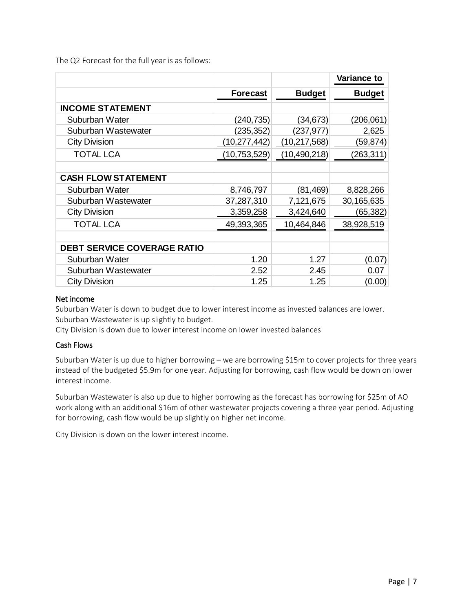The Q2 Forecast for the full year is as follows:

|                                    |                 |                | <b>Variance to</b> |
|------------------------------------|-----------------|----------------|--------------------|
|                                    | <b>Forecast</b> | <b>Budget</b>  | <b>Budget</b>      |
| <b>INCOME STATEMENT</b>            |                 |                |                    |
| Suburban Water                     | (240,735)       | (34, 673)      | (206,061)          |
| Suburban Wastewater                | (235, 352)      | (237,977)      | 2,625              |
| <b>City Division</b>               | (10, 277, 442)  | (10, 217, 568) | (59,874)           |
| <b>TOTAL LCA</b>                   | (10,753,529)    | (10, 490, 218) | (263, 311)         |
|                                    |                 |                |                    |
| <b>CASH FLOW STATEMENT</b>         |                 |                |                    |
| Suburban Water                     | 8,746,797       | (81,469)       | 8,828,266          |
| Suburban Wastewater                | 37,287,310      | 7,121,675      | 30,165,635         |
| <b>City Division</b>               | 3,359,258       | 3,424,640      | (65,382)           |
| <b>TOTAL LCA</b>                   | 49,393,365      | 10,464,846     | 38,928,519         |
|                                    |                 |                |                    |
| <b>DEBT SERVICE COVERAGE RATIO</b> |                 |                |                    |
| Suburban Water                     | 1.20            | 1.27           | (0.07)             |
| Suburban Wastewater                | 2.52            | 2.45           | 0.07               |
| <b>City Division</b>               | 1.25            | 1.25           | (0.00)             |

#### Net income

Suburban Water is down to budget due to lower interest income as invested balances are lower. Suburban Wastewater is up slightly to budget.

City Division is down due to lower interest income on lower invested balances

#### Cash Flows

Suburban Water is up due to higher borrowing – we are borrowing \$15m to cover projects for three years instead of the budgeted \$5.9m for one year. Adjusting for borrowing, cash flow would be down on lower interest income.

Suburban Wastewater is also up due to higher borrowing as the forecast has borrowing for \$25m of AO work along with an additional \$16m of other wastewater projects covering a three year period. Adjusting for borrowing, cash flow would be up slightly on higher net income.

City Division is down on the lower interest income.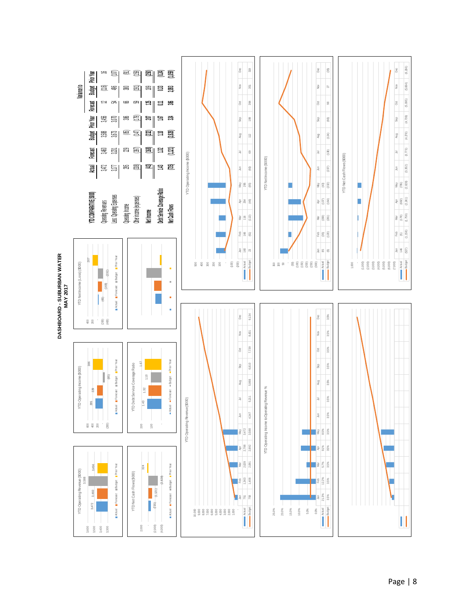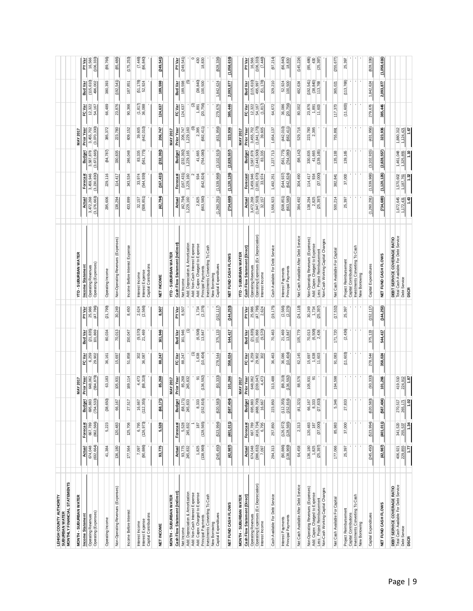| MONTHLY FINANCIAL STATEMENTS<br>LEHIGH COUNTY AUTHORITY<br>SUBURBAN WATER                                                            |                                                             |                            |                             |                           |                                                          |                                 |                             |                                                                                                                                       |                               |                            |                                 |                         |                           |                                           |                                          |
|--------------------------------------------------------------------------------------------------------------------------------------|-------------------------------------------------------------|----------------------------|-----------------------------|---------------------------|----------------------------------------------------------|---------------------------------|-----------------------------|---------------------------------------------------------------------------------------------------------------------------------------|-------------------------------|----------------------------|---------------------------------|-------------------------|---------------------------|-------------------------------------------|------------------------------------------|
| <b>MONTH - SUBURBAN WATER</b>                                                                                                        |                                                             |                            |                             | <b>MAY 2017</b>           |                                                          |                                 |                             | YTD - SUBURBAN WATER                                                                                                                  |                               |                            |                                 | MAY 2017                |                           |                                           |                                          |
| Income Statement                                                                                                                     | Actual                                                      | Forecast                   | Budget                      | Prior Year                | FC Var                                                   | Bud Var                         | <b>PYVar</b>                | Income Statement                                                                                                                      | Actual                        | Forecast                   | Budget                          | <b>Prior Year</b>       | FC Var                    | Bud Var                                   | <b>PY Var</b>                            |
| Operating Revenues<br>Operating (Expenses)                                                                                           | 674,048                                                     | 667,789                    | 695,883                     | 648,062                   | 6,259                                                    | $(21, 835)$<br>101,869          | 25,986                      | <b>Operating Revenues</b>                                                                                                             | 3,472,268                     | 3,459,946                  | 3,587,878                       | 3,455,702               | 12,322                    | (115, 610)                                | 16,566                                   |
|                                                                                                                                      | (632, 664)                                                  | ,566)<br>(662,             | (734, 533)                  | (584, 879)                | 29,902                                                   |                                 | (47, 786)                   | Operating (Expenses)                                                                                                                  | (3, 176, 663)                 | , 830)<br>(3, 230,         | 672,665<br>ಲೆ                   | (070, 330)<br>න         | 54,167                    | 496,002                                   | (106, 333)                               |
| Operating Income                                                                                                                     | 41,384                                                      | 5,223                      | (38, 650)                   | 63,183                    | 36,161                                                   | 80,034                          | (21, 799)                   | Operating Income                                                                                                                      | 295,606                       | 229,116                    | (84, 787)                       | 385,372                 | 66,489                    | 380,393                                   | (89,766)                                 |
| Non-Operating Revenues (Expenses)                                                                                                    | 136,180                                                     | 120,483                    | 66,167                      | 105,931                   | 15,697                                                   | 70,013                          | 30,249                      | Non-Operating Revenues (Expenses)                                                                                                     | 138,294                       | 114,417                    | 330,835                         | 223,780                 | 23,876                    | (192, 541)                                | (85,486)                                 |
| Income Before Interest                                                                                                               | 177,564                                                     | 125,706                    | $27,517$                    | 169,114                   | 51,858                                                   | 150,047                         | 8,450                       | Expense<br>Income Before Interest                                                                                                     | 433,899                       | 343,534                    | 246,048                         | 609,152                 | 90,366                    | 187,851                                   | (175, 253)                               |
| Capital Contributions<br>Interest Expense<br>Interest Income                                                                         | (90,886)                                                    | (126, 973)<br>6,795        | (112, 355)<br>16,667        | (88,319)<br>4,473         | 302<br>36,087                                            | $(9,570)$<br>21,469             | 2,624<br>(2,566)            | Capital Contributions<br>Interest Expense<br>Interest Income                                                                          | (508, 851)<br>32,157          | (544, 939)<br>974<br>ಣೆ    | (561, 775)<br>83,335            | (442, 010)<br>39,605    | $(1, 817)$<br>36,088      | (51, 178)<br>52,924                       | $(7,448)$<br>$(66,840)$                  |
| NET INCOME                                                                                                                           | 93,775                                                      | 5,528                      | (68, 17)                    | 85,268                    | 88,247                                                   | 161,946                         | 8,507                       | NET INCOME                                                                                                                            | (42, 794)                     | (167, 431)                 | (232, 392)                      | 206,747                 | 124,637                   | 189,598                                   | (249, 541)                               |
| <b>MONTH - SUBURBAN WATER</b>                                                                                                        |                                                             |                            |                             | MAY 2017                  |                                                          |                                 |                             | YTD - SUBURBAN WATER                                                                                                                  |                               |                            |                                 | <b>MAY 2017</b>         |                           |                                           |                                          |
| Cash Flow Statement (Indirect)                                                                                                       | Actual                                                      | Forecast                   | <b>Budget</b>               | Prior Year                | FC Var                                                   | Bud Var                         | PY Var                      | Cash Flow Statement (Indirect)                                                                                                        | Actual                        | Forecast                   | Budget                          | <b>Prior Year</b>       | FC Var                    | <b>Bud Var</b>                            | <b>PYVar</b>                             |
| Net Income                                                                                                                           | 93,775                                                      | 5,528                      | (68,171)<br>245,833         | 85,268                    | 88,247                                                   | 161,946                         | 8,507                       | Net Income                                                                                                                            | (42, 794)                     | (167, 431)                 | (232, 392)                      | 206,747                 | 124,637                   | 189,598                                   | (249, 541)                               |
| Add: Depreciation & Amortization                                                                                                     | 245,832                                                     | 245,832                    |                             | 245,832                   |                                                          | ε                               |                             | Add: Depreciation & Amortization<br>Add: Non-Cash Interest Expense                                                                    | ,229,160                      | ,229,160<br>$\sim$         | 229,165                         | 1,229,160               |                           | ම                                         |                                          |
| Add: Non-Cash Interest Expense<br>Add: Capex Charged to Expense                                                                      |                                                             | 187                        | 8,333                       | 5                         | ε<br>1,638                                               |                                 |                             | Add: Capex Charged to Expense                                                                                                         | 2,825                         | 934                        | 41,665                          | $\frac{6}{2,395}$       | $^{(2)}$<br>1,891         |                                           | 430                                      |
| Principal Payments                                                                                                                   | 1,825<br>(138,969)                                          | (128, 565)                 | (152, 816)                  | (136, 592)                | (10, 404)                                                | $(6,508)$<br>13,847             | $1,734$<br>(2,376)          | Principal Payments                                                                                                                    | (663, 580)                    | (642, 824)                 | (764,080)                       | (682, 411)              | (20, 756)                 | $(38, 840)$<br>$100, 500$                 | 18,830                                   |
| Investments Converting To Cash                                                                                                       |                                                             |                            |                             |                           |                                                          |                                 |                             | Investments Converting To Cash                                                                                                        |                               |                            |                                 |                         |                           |                                           |                                          |
| Capital Expenditures<br>New Borrowing                                                                                                | (245, 450)                                                  | (523, 994)                 | (620,58                     | (93, 333)                 | 278,544                                                  | 375,133                         | (152, 117)                  | Capital Expenditures<br>New Borrowing                                                                                                 | (1,260,291)                   | (1,539,968)                | (3, 102, 915)                   | (431, 956)              | 279,676                   | 1,842,624                                 | (828, 336)                               |
| NET FUND CASH FLOWS                                                                                                                  | (42, 987)                                                   | (401,011)                  | (587,404                    | 101,266                   | 358,024                                                  | 544,417                         | (144, 253)                  | NET FUND CASH FLOWS                                                                                                                   | (734, 680)                    | (1, 120, 126)              | (2,828,557)                     | 323,936                 | 385,446                   | 2,093,877                                 | (1,058,616)                              |
| <b>MONTH - SUBURBAN WATER</b>                                                                                                        |                                                             |                            |                             | <b>MAY 2017</b>           |                                                          |                                 |                             | YTD - SUBURBAN WATER                                                                                                                  |                               |                            |                                 | <b>MAY 2017</b>         |                           |                                           |                                          |
| Cash Flow Statement (Direct)                                                                                                         | Actual                                                      | Forecast                   | Budget                      | Prior Year                | FC Var                                                   | Bud Var                         | PY Var                      | Cash Flow Statement (Direct)                                                                                                          | Actual                        | Forecast                   | Budget                          | Prior Year              | FC Var                    | <b>Bud Var</b>                            | PYVar                                    |
| <b>Operating Revenues</b>                                                                                                            | 674,048                                                     | 667,789                    | 695,883                     | 648,062                   | 6,259                                                    | (21, 835)                       | 25,986                      | <b>Operating Revenues</b>                                                                                                             | 3,472,268                     | 3,459,946                  | 3,587,878                       | 3,455,702               | 12,322                    | (115, 610)                                | 16,566                                   |
| Operating Expenses (Ex Depreciation)<br>Interest Income                                                                              | (386, 832)                                                  | (416, 734)                 | (488,700                    | (339, 047)                | 29,902                                                   | 101,868                         | (47, 786)<br>2,624          | Operating Expenses (Ex Depreciation)                                                                                                  | (1, 947, 503)<br>32           | (2,001,670)<br>974<br>33   | ,443,500)<br>83,335<br>ø,       | (1, 841, 170)           | (1, 817)<br>54,167        | 495,997                                   | (106, 333)<br>(7,448)                    |
|                                                                                                                                      | 7,097                                                       | 6,795                      | 16,667                      | 4,473                     | $\approx$                                                | (9,570)                         |                             | Interest Income                                                                                                                       | .157                          |                            |                                 | 39,605                  |                           | (51, 178)                                 |                                          |
| Cash Available For Debt Service                                                                                                      | 294,313                                                     | 257,850                    | 223,850                     | 313,488                   | 36,463                                                   | 70,463                          | (19, 175)                   | Cash Available For Debt Service                                                                                                       | 1,556,923                     | 1,492,251                  | 1,227,713                       | 1,654,137               | 64,672                    | 329,210                                   | (97, 214)                                |
| Principal Payments<br>Interest Payments                                                                                              | $(90, 886)$<br>$(138, 969)$                                 | (126, 972)<br>(128, 565)   | (112,355)<br>(152,816)      | (88, 319)<br>(136, 592)   | (10, 404)<br>36,086                                      | 21,469<br>13,847                | $(2, 566)$<br>$(2, 376)$    | Principal Payments<br>Interest Payments                                                                                               | (508, 851)<br>(663, 580)      | (642, 824)<br>(544, 937)   | (561,775)<br>(764,080)          | (442,010)<br>(682, 411) | (20, 756)<br>36,086       | 52,924<br>100,500                         | (66, 840)<br>18,830                      |
| Net Cash Available After Debt Service                                                                                                | 64,458                                                      | 2,313                      | (41, 321)                   | 88,576                    | 62,145                                                   | 105,779                         | (24, 118)                   | Net Cash Available After Debt Service                                                                                                 | 384,492                       | 304,490                    | (98, 142)                       | 529,716                 | 80,002                    | 482,634                                   | (145, 224)                               |
|                                                                                                                                      |                                                             |                            |                             |                           |                                                          |                                 |                             |                                                                                                                                       |                               |                            |                                 |                         |                           |                                           |                                          |
| Non-Operating Revenues (Expenses)<br>Non-Cash Working Capital Changes<br>Add: Capex Charged to Expense<br>Less: Project Reimbursemen | $\begin{array}{c} 136,180 \\ 1,825 \\ (25,397) \end{array}$ | (37,000)<br>120,483<br>187 | 66,167<br>8,333<br>(27,833) | $\overline{5}$<br>105,931 | $\begin{array}{c} 15,697 \\ 1,638 \\ 11,603 \end{array}$ | $\frac{70,013}{6,508}$<br>2,436 | 30,249<br>1,734<br>(25,397) | Non-Operating Revenues (Expenses)<br>Non-Cash Working Capital Changes<br>Add: Capex Charged to Expense<br>Less: Project Reimbursement | (25, 397)<br>2,825<br>138,294 | (37,000)<br>934<br>114,417 | (139, 165)<br>330,835<br>41,665 | 223,780<br>2,395        | 23,876<br>1,891<br>11,603 | $(192, 541)$<br>$(38, 840)$<br>$113, 768$ | (85, 486)<br>$\frac{1}{30}$<br>(25, 397) |
| Net Cash Available For Capital                                                                                                       | 177,066                                                     | 85,983                     | 5,346                       | 194,598                   | 91,083                                                   | 171,720                         | (17, 532)                   | Net Cash Available For Capital                                                                                                        | 500,214                       | 382,841                    | 135, 193                        | 755,891                 | 117,373                   | 365,021                                   | (255, 677)                               |
| Investments Converting To Cash<br>Project Reimbursement<br>Capital Contributions<br>New Borrowing                                    | 25,397                                                      | 37,000                     | 27,833                      |                           | (11,603)                                                 | (2, 436)                        | 25,397                      | Cash<br>۴<br>Investments Converting<br>Project Reimbursemen<br>Capital Contributions<br>New Borrowing                                 | $\sim$<br>25,397              | 000<br>57,                 | $\sim$<br>139,165               | $\sim$                  | (11, 603)                 | (113, 768)                                | 25,397                                   |
| Capital Expenditures                                                                                                                 | (245, 450)                                                  | (523, 994)                 | (620,583                    | (93, 333)                 | 278,544                                                  | 375,133                         | (152, 117)                  | Capital Expenditures                                                                                                                  | (1,260,291)                   | (1,539,968)                | (3, 102, 915)                   | (431, 956)              | 279,676                   | 1,842,624                                 | (828,336)                                |
| NET FUND CASH FLOWS                                                                                                                  | (42, 987)                                                   | (401, 011)                 | (587,404                    | 101,266                   | 358,024                                                  | 544,417                         | (144, 253)                  | NET FUND CASH FLOWS                                                                                                                   | (734, 680)                    | (1, 120, 126)              | (2,828,557)                     | 323,936                 | 385,446                   | 2,093,877                                 | (1,058,616)                              |
| DEBT SERVICE COVERAGE RATIO                                                                                                          |                                                             |                            | 270,517                     | 419,510                   |                                                          |                                 |                             | Total Cash Available For Debt Service<br>DEBT SERVICE COVERAGE RATIO                                                                  | 1,672,645                     | 1,570,602                  | 1,461,048                       | 1,880,312               |                           |                                           |                                          |
|                                                                                                                                      | 406,921<br>229,855                                          | 341,520<br>255,537         | 265,171                     | 224,912                   |                                                          |                                 |                             | Debt Service                                                                                                                          | 1,172,431                     | ,187,761                   | 325,855                         |                         |                           |                                           |                                          |
| Total Cash Available For Debt Service<br>Debt Service<br>DSCR                                                                        | 1.77                                                        | 1.34                       | 1.02                        | 1.87                      |                                                          |                                 |                             | <b>DSCR</b>                                                                                                                           | 1,43                          | 1.32                       | 1.10                            | $124,421$<br>1.67       |                           |                                           |                                          |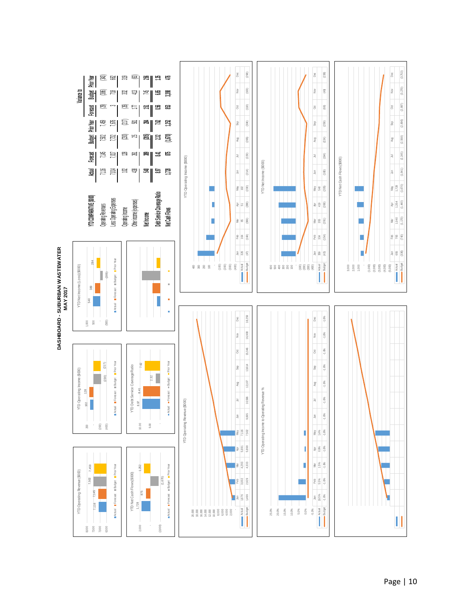

## Page | 10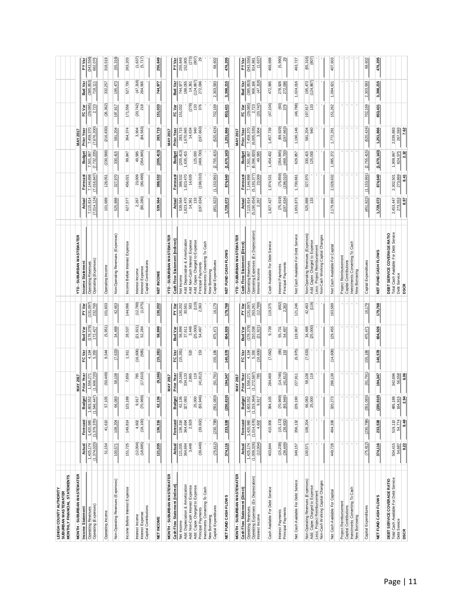| <b>LEHIGH COUNTY AUTHORITY</b><br>SUBURBAN WASTEWATER                                       |                            |                            |                                                   |                                 |                                                        |                             |                          |                                                                    |                             |                               |                               |                            |                       |                       |                         |
|---------------------------------------------------------------------------------------------|----------------------------|----------------------------|---------------------------------------------------|---------------------------------|--------------------------------------------------------|-----------------------------|--------------------------|--------------------------------------------------------------------|-----------------------------|-------------------------------|-------------------------------|----------------------------|-----------------------|-----------------------|-------------------------|
| MONTHLY FINANCIAL STATEMENTS                                                                |                            |                            |                                                   |                                 |                                                        |                             |                          |                                                                    |                             |                               |                               |                            |                       |                       |                         |
| <b>MONTH - SUBURBAN WASTEWATER</b>                                                          |                            |                            |                                                   | <b>MAY 2017</b>                 |                                                        |                             |                          | YTD - SUBURBAN WASTEWATER                                          |                             |                               |                               | <b>MAY 2017</b>            |                       |                       |                         |
| Income Statement                                                                            | Actual                     | Forecast                   | 희<br>Budg                                         | Prior Year                      | FC Var                                                 | <b>Bud Var</b>              | <b>PY Var</b>            | Income Statement                                                   | Actual                      | Forecast                      | <b>Budget</b>                 | Prior Year                 | FC Var                | Bud Var               | <b>PYVar</b>            |
| Operating Revenues<br>Operating (Expenses)                                                  | 1,425,174<br>(1,374,020)   | (1, 379, 370)<br>1,420,980 | $1,603,552$<br>$(1,546,447)$                      | 1,556,271<br>(1,606,720)        | 4,194<br>5,350                                         | (178, 378)<br>427<br>172.   | $(131,097)$<br>$232,700$ | Operating Revenues<br>Operating (Expenses)                         | ,014,124)<br>7,115,814<br>Ε | (016, 847)<br>7,144,898<br>E. | 7,501,667<br>(7,732,235)<br>⊵ | (7, 676, 200)<br>7,459,370 | (29, 085)<br>723<br>N | (385, 853)<br>718,111 | (343, 556)<br>662,076   |
| Operating Income                                                                            | 51,154                     | 41,610                     | 57,105                                            | (50, 449)                       | 544<br>တ                                               | (5, 951)                    | 101,603                  | Operating Income                                                   | 101,689                     | 128,051                       | (230, 568)                    | (216, 830)                 | (26, 362)             | 332,257               | 318,519                 |
| Non-Operating Revenues (Expenses)                                                           | 100,571                    | 108,204                    | 66,083                                            | 58,108                          | (7, 633)                                               | 34,488                      | 42,463                   | Non-Operating Revenues (Expenses)                                  | 525,888                     | 327,970                       | 330,415                       | 581,204                    | 197,917               | 195,473               | (55, 316)               |
| Income Before Interest Expense                                                              | 151,725                    | 149,814                    | 88<br>123, 11                                     | 7,659                           | 1,911                                                  | 28,537                      | 144,066                  | Expense<br>Income Before Interest                                  | L'S<br>627                  | 456,021                       | 99,847                        | 364,374                    | 171,556               | 527,730               | 263,203                 |
| Capital Contributions<br>Interest Expense<br>Interest Income                                | $(12,004)$<br>$(18,685)$   | (18, 100)<br>4,602         | 9,917<br>(70,969)                                 | (17, 610)<br>785                | (16, 606)<br>(585)                                     | $(21, 921)$<br>52,284       | (12, 789)<br>(1,075)     | Capital Contributions<br>Interest Expense<br>Interest Income       | (90, 280)<br>2,267          | (90, 499)<br>23,009           | 49,585<br>(354,845)           | (84, 563)<br>3,904         | $(20, 742)$<br>$218$  | $(47,318)$<br>264,565 | $(1,637)$<br>$(5,717)$  |
| NET INCOME                                                                                  | 121,035                    | 136,316                    | $\frac{1}{2}$<br>62,1                             | (9, 166)                        | (15, 281)                                              | 58,899                      | 130,202                  | NET INCOME                                                         | 539,564                     | 388,532                       | (205, 413)                    | 283,715                    | 151,033               | 744,977               | 255,849                 |
| MONTH - SUBURBAN WASTEWATER                                                                 |                            |                            |                                                   | <b>MAY 2017</b>                 |                                                        |                             |                          | YTD - SUBURBAN WASTEWATER                                          |                             |                               |                               | <b>MAY 2017</b>            |                       |                       |                         |
| Cash Flow Statement (Indirect)                                                              | Actual                     | Forecast                   | 히<br>Budg                                         | <b>Prior Year</b>               | FC Var                                                 | Bud Var                     | PY Var                   | Cash Flow Statement (Indirect)                                     | Actual                      | Forecast                      | <b>Budget</b>                 | Prior Year                 | FC Var                | Bud Var               | <b>PYVar</b>            |
| Net Income                                                                                  | 121,035<br>364,694         | 136,316                    | 62,136                                            |                                 | (15, 281)                                              | 58,899                      | 130,202                  | Net Income                                                         | 539,564                     | 388,532                       | (205, 413)                    | 283,715                    | 151,032               | 744,977               | 255,849                 |
| Add: Depreciation & Amortization                                                            |                            | 364,694                    | .083<br>327                                       | $\frac{(9, 166)}{234, 133}$     |                                                        | 37,611                      | 30,561                   | Add: Depreciation & Amortization                                   | ,823,470                    | 823,470                       | ,635,415                      | 1,670,665                  |                       | 188,055               | 152,805                 |
| Add: Non-Cash Interest Expense<br>Add: Capex Charged to Expense                             | 3,448                      | 2,928                      |                                                   | 119                             | 520                                                    |                             | (119)<br>583             | Add: Non-Cash Interest Expense<br>Add: Capex Charged to Expense    | 133<br>14,361               | 14,639                        | 125,000                       | 14,634<br>940              | (278)                 | (124, 867)<br>14,361  | (273)<br>(807)          |
|                                                                                             | (39, 449)                  | (39, 602)                  | 25,000<br>(93,946)                                | (41, 812)                       | 153                                                    | 3,448<br>(25,000)<br>54,497 | 2,363                    | Principal Payments                                                 | (197, 634)                  | (198, 010)                    | (469, 730)                    | (197, 663)                 | $\frac{133}{376}$     | 272,096               | 29                      |
| Principal Payments<br>Investments Converting To Cash                                        |                            |                            |                                                   |                                 |                                                        |                             |                          | Investments Converting To Cash                                     |                             |                               |                               |                            |                       |                       |                         |
| Capital Expenditures<br>New Borrowing                                                       | (75, 612)                  | (230, 798)                 | (551, 083)                                        | (91, 791)                       | 155,186                                                | 475,471                     | 16,179                   | Capital Expenditures<br>New Borrowing                              | (451,822)                   | (1, 153, 991)                 | (2,755,415)                   | (520, 424)                 | 702,169               | 593<br>2,303,         | 68,602                  |
| NET FUND CASH FLOWS                                                                         | 374,116                    | 233,538                    | (230, 810)                                        | 194,347                         | 140,578                                                | 604,926                     | 179,768                  | NET FUND CASH FLOWS                                                | 1,728,072                   | 874,640                       | (1,670,143)                   | 1,251,866                  | 853,431               | 3,398,215             | 476,205                 |
| MONTH - SUBURBAN WASTEWATER                                                                 |                            |                            |                                                   | <b>MAY 2017</b>                 |                                                        |                             |                          | YTD - SUBURBAN WASTEWATER                                          |                             |                               |                               | <b>MAY 2017</b>            |                       |                       |                         |
| Cash Flow Statement (Direct)                                                                | Actual                     | Forecast                   | 힙<br>Budg                                         | Prior Year                      | FC Var                                                 | Bud Var                     | <b>PY Var</b>            | Cash Flow Statement (Direct)                                       | Actual                      | Forecast                      | <b>Budget</b>                 | Prior Year                 | FC Var                | Bud Var               | <b>PYVar</b>            |
|                                                                                             | 1,425,174                  | 1,420,980                  |                                                   |                                 | 4,194                                                  |                             |                          | <b>Operating Revenues</b>                                          | 7,115,814                   | 7,144,898                     |                               | 7,459,370                  | (29, 085)             | (385, 853)            |                         |
| Operating Revenues<br>Operating Expenses (Ex Depreciation)                                  | (1,009,326)                | (1,014,676)                | 1,603,552<br>(1,219,364)<br>9,917                 | 1,556,271<br>(1,272,587)<br>785 | 5,350                                                  | $(178, 378)$<br>$210,038$   | $(131,097)$<br>$263,261$ | Operating Expenses (Ex Depreciation)                               | (5, 190, 654)               | $(5, 193, 377)$<br>$23,009$   | 7,501,667<br>(6,096,820)      | (6,005,535)                | $2,723$<br>$(20,742)$ | 906,166               | $(343, 556)$<br>814,881 |
| Interest Income                                                                             | (12,004)                   | 4,602                      |                                                   |                                 | (16, 606)                                              | (21, 921)                   | (12, 789)                | Interest Income                                                    | 2,267                       |                               | 49,585                        | 3,904                      |                       | (47, 318)             | (1,637)                 |
| Cash Available For Debt Service                                                             | 403,844                    | 410,906                    | 394,105                                           | 284,469                         | (7,062)                                                | 9,739                       | 119,375                  | Cash Available For Debt Service                                    | ,927,427                    | 1,974,531                     | 1,454,432                     | 1,457,739                  | (47, 104)             | 472,995               | 469,688                 |
| Principal Payments<br>Interest Payments                                                     | $(15, 238)$<br>$(39, 449)$ | $(15, 172)$<br>$(39, 602)$ | $(70, 969)$<br>$(93, 946)$                        | (14, 746)<br>(41, 812)          | $\begin{array}{c}\n 66 \\  \hline\n 153\n \end{array}$ | 55,731<br>54,497            | $(492)$<br>$2,363$       | Principal Payments<br>Interest Payments                            | $(75, 919)$<br>$(197, 634)$ | $(75, 859)$<br>$(198, 010)$   | $(354, 845)$<br>$(469, 730)$  | (69, 929)<br>(197, 663)    | (60)<br>376           | 278,926<br>272,096    | (5,990)<br>29           |
| Net Cash Available For Debt Service                                                         | 349, 157                   | 356, 132                   | 229,190                                           | 227,911                         | (6, 975)                                               | 119,967                     | 121,246                  | Net Cash Available For Debt Service                                | 1,653,873                   | 1,700,661                     | 629,857                       | 1,190,146                  | (46, 788)             | 1,024,016             | 463,727                 |
| Non-Operating Revenues (Expenses)<br>Add: Capex Charged to Expense                          | 100,571                    | 108,204                    | 66,083<br>25,000                                  | 58,108<br>119                   | (7,633)                                                | (25,000)<br>34,488          | (119)<br>42,463          | Non-Operating Revenues (Expenses)<br>Add: Capex Charged to Expense | 525,888<br>133              | 327,970                       | 330,415<br>125,000            | 581,204<br>940             | 133<br>197,917        | (124, 867)<br>195,473 | (55, 316)<br>(807)      |
| Less: Project Reimbursement<br>Non-Cash Working Capital Changes                             | $\mathbf{r}$               |                            |                                                   |                                 |                                                        |                             |                          | Non-Cash Working Capital Changes<br>Less: Project Reimbursement    |                             |                               |                               |                            |                       |                       |                         |
| Net Cash Available For Capital                                                              | 449,728                    | 464,336                    | $\mathbb{Z}$<br>320,2                             | 286,139                         | (14, 608)                                              | 129,455                     | 163,589                  | Net Cash Available For Capital                                     | 2,179,893                   | 2,028,632                     | 1,085,272                     | 1,772,291                  | 151,262               | 1,094,621             | 407,603                 |
| Project Reimbursement                                                                       |                            |                            | ч                                                 |                                 |                                                        |                             |                          | Project Reimbursement                                              |                             |                               |                               |                            |                       |                       |                         |
| Investments Converting To Cash<br>Capital Contributions                                     | $\mathbf{r}$               |                            | $\mathcal{F}_{\mathcal{A}}$<br>$\mathbf{r}_\perp$ |                                 |                                                        |                             |                          | Investments Converting To Cash<br>Capital Contributions            |                             |                               |                               |                            |                       |                       |                         |
| New Borrowing                                                                               |                            |                            |                                                   |                                 |                                                        |                             |                          | New Borrowing                                                      |                             |                               |                               |                            |                       |                       |                         |
| Capital Expenditures                                                                        | (75, 612)                  | (230, 798)                 | (551, 083)                                        | (91, 791)                       | 155,186                                                | 475,471                     | 16,179                   | Capital Expenditures                                               | (451, 822)                  | (1, 153, 991)                 | (2,755,415)                   | (520, 424)                 | 702,169               | 2,303,593             | 68,602                  |
| NET FUND CASH FLOWS                                                                         | 374,116                    | 233,538                    | ġ<br>(230, 8)                                     | 194,347                         | 140,578                                                | 604,926                     | 179,768                  | NET FUND CASH FLOWS                                                | 1,728,072                   | 874,640                       | (1,670,143)                   | 1,251,866                  | 853,431               | 3,398,215             | 476,205                 |
| <b>DEBT SERVICE COVERAGE RATIO</b><br>Total Cash Available For Debt Service<br>Debt Service |                            |                            |                                                   |                                 |                                                        |                             |                          | DEBT SERVICE COVERAGE RATIO                                        |                             |                               |                               |                            |                       |                       |                         |
|                                                                                             | 504,415<br>54,687          | 519,110<br>54,774          | 485,188<br>164,915                                | 342,696<br>56,558               |                                                        |                             |                          | Total Cash Available For Debt Service<br>Debt Service              | 2,453,447<br>273,553        | 2,302,501<br>273,869          | 824,575<br>1,909,847          | 267,593<br>2,039,883       |                       |                       |                         |
| <b>DSCR</b>                                                                                 | 9.22                       | 9.48                       | 2.94                                              | 6.06                            |                                                        |                             |                          | <b>DSCR</b>                                                        | 8.97                        | 8.41                          | 2.32                          | 7.62                       |                       |                       |                         |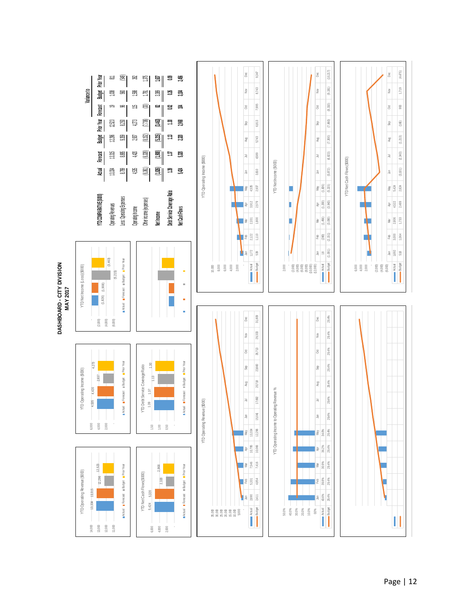![](_page_47_Figure_0.jpeg)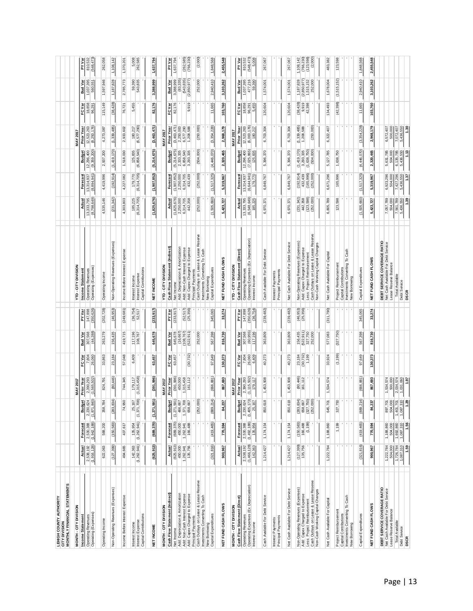| LEHIGH COUNTY AUTHORITY<br><b>CITY DIVISION</b>                                                    |                                     |                          |                                                                    |                          |                                |                                |                                  |                                                                                       |                                                        |                                  |                                                 |                                             |                  |                            |                       |
|----------------------------------------------------------------------------------------------------|-------------------------------------|--------------------------|--------------------------------------------------------------------|--------------------------|--------------------------------|--------------------------------|----------------------------------|---------------------------------------------------------------------------------------|--------------------------------------------------------|----------------------------------|-------------------------------------------------|---------------------------------------------|------------------|----------------------------|-----------------------|
| MONTHLY FINANCIAL STATEMENTS                                                                       |                                     |                          |                                                                    |                          |                                |                                |                                  |                                                                                       |                                                        |                                  |                                                 |                                             |                  |                            |                       |
| MONTH - CITY DIVISION                                                                              |                                     |                          |                                                                    | MAY 201                  |                                |                                |                                  | <b>YTD-CITY DIVISION</b>                                                              |                                                        |                                  |                                                 | <b>MAY 2017</b>                             |                  |                            |                       |
| Income Statement                                                                                   | Actual                              | Forecast                 | <b>Budget</b>                                                      | Prior Year               | FC Var                         | Bud Var                        | PY Var                           | Income Statement                                                                      | Actual                                                 | Forecast                         | <b>Budget</b>                                   | Prior Year                                  | FC Var           | Bud Var                    | PY Var                |
| Operating (Expenses)<br><b>Operating Revenues</b>                                                  | (1,916,128)<br>2,538,192            | (1,942,188)<br>2,530,388 | (1,871,840)<br>2,230,624                                           | (1,565,502)<br>2,390,293 | 26,060<br>7,804                | (44, 288)<br>307,568           | (350, 626)<br>147,898            | Operating (Expenses)<br><b>Operating Revenues</b>                                     | (8, 798, 649)<br>13,333,795                            | (8, 894, 941)<br>13,314,937      | (9, 359, 200)<br>12,296,400                     | (8, 250, 176)<br>12,523,263                 | 18,858<br>96,291 | 1,037,395<br>560,551       | (548, 473)<br>810,532 |
| Operating Income                                                                                   | 622,063                             | 588,200                  | 358,784                                                            | 824,791                  | 33,863                         | 263,279                        | (202, 728)                       | Operating Income                                                                      | 4,535,146                                              | 4,419,996                        | 2,937,200                                       | 4,273,087                                   | 115,149          | 1,597,946                  | 262,058               |
| Non-Operating Revenues (Expenses)                                                                  | (127, 399)                          | (150, 583)               | (283, 83)                                                          | (80, 446)                | 23,184                         | 156,435                        | (46, 953)                        | Non-Operating Revenues (Expenses)                                                     | (342)<br>(231,                                         | (192, 914)                       | (1,419,170)                                     | (1,339,485)                                 | (38, 428)        | 1,187,828                  | 1,108,142             |
| Income Before Interest Expense                                                                     | 494,665                             | 437,617                  | 74,950                                                             | 744,345                  | 57,048                         | 419,715                        | (249, 681)                       | Income Before Interest Expense                                                        | 4,303,803                                              | 4,227,082                        | 1,518,030                                       | 2,933,602                                   | 76,721           | 2,785,773                  | 1,370,201             |
| Capital Contributions<br>Interest Expense<br>Interest Income                                       | (1, 262, 941)<br>142,363            | (1, 262, 941)<br>135,954 | (1,371,708)<br>25,167                                              | (1,315,458)<br>179,117   | 6,409                          | 117,196<br>108,767             | $(36, 754)$<br>$52, 517$         | Capital Contributions<br>Interest Expense<br>Interest Income                          | 185,225<br>(6,314,705)                                 | (6, 314, 705)<br>OLI.<br>179,    | 125,835<br>,858,540)<br>ق                       | (6, 577, 290)<br>180,217                    | 5,455            | 390<br>543,835<br>99,      | 262,585<br>5,008      |
| NET INCOME                                                                                         | (625, 913)                          | (689, 370)               | (1,271,591)                                                        | (391, 996)               | 457<br>3                       | 645,678                        | (233, 917)                       | NET INCOME                                                                            | (1,825,676)                                            | (1, 907, 852)                    | (5,214,675)                                     | (3,463,471)                                 | 82,176           | 3,388,999                  | 1,637,794             |
| MONTH - CITY DIVISION                                                                              |                                     |                          |                                                                    | 2017<br><b>MAY</b>       |                                |                                |                                  | <b>YTD-CITY DIVISION</b>                                                              |                                                        |                                  |                                                 | 2017<br>MAY                                 |                  |                            |                       |
| Cash Flow Statement (Indirect)                                                                     | Actual                              | Forecast                 | <b>Budget</b>                                                      | <b>Prior Year</b>        | FC Var                         | Bud Var                        | <b>PYVar</b>                     | Cash Flow Statement (Indirect)                                                        | Actual                                                 | Forecast                         | Budget                                          | Prior Year                                  | FC Var           | Bud Var                    | PY Var                |
| Net Income                                                                                         | (625, 913)                          | (689, 370)               | $\begin{array}{c} (1,271,591) \\ 466,667 \\ 1,371,708 \end{array}$ | (391, 996)               | 63,457                         | 645,678                        | (233, 917)                       | Net Income                                                                            | $(1,825,676)$<br>$2,250,000$<br>$6,314,705$            | (1, 907, 852)                    | $.214,675$<br>$.333,335$<br>$.858,540$          | $(3,463,471)$<br>$2,250,000$<br>$6,577,290$ | 82,176           | 3,388,999                  | 1,637,794             |
| Add: Depreciation & Amortization<br>Add: Non-Cash Interest Expense                                 | 450,000<br>1,262,941                | 1,262,941<br>450,000     |                                                                    | 1,315,458<br>450,000     |                                | (16, 667)<br>(108, 767)        |                                  | Add: Depreciation & Amortization<br>Add: Non-Cash Interest Expense                    |                                                        | 2,250,000<br>6,314,705           | ம்ல்                                            |                                             |                  | (83, 335)<br>(543, 835)    | (262, 585)            |
| Add: Capex Charged to Expense                                                                      | 135,756                             | 166,488                  | 658,667                                                            | 161,112                  | (30, 732)                      | (522, 911)                     | $(52, 517)$<br>$(25, 356)$       | Add: Capex Charged to Expense                                                         | 442,358                                                | 432,439                          | 3,293,335                                       | 1,208,588                                   | 9,919            | (2, 850, 977)              | (766, 230)            |
| Principal Payments                                                                                 |                                     |                          | (252,000)                                                          |                          |                                | 252,000                        |                                  | Cash Outlays on Lease & Lease Reserve<br>Principal Payments                           |                                                        |                                  |                                                 |                                             |                  | 252,000                    |                       |
| Cash Outlays on Lease & Lease Reserve<br>Investments Converting To Cash                            |                                     |                          |                                                                    |                          |                                |                                |                                  | Investments Converting To Cash                                                        | (252,000)                                              | (252,000)                        | (504,000)                                       | (250,000)                                   |                  |                            | (2,000)               |
| New Borrowing                                                                                      |                                     |                          |                                                                    |                          |                                |                                |                                  | New Borrowing                                                                         |                                                        |                                  |                                                 |                                             |                  |                            |                       |
| Capital Expenditures                                                                               | (321, 816)                          | (419, 465                | (889,21                                                            | (666,881                 | 649<br>9.                      | 398<br>567,                    | 345,065                          | Capital Expenditures                                                                  | (1,505,660)                                            | (1, 517, 325)                    | (4,446,070)                                     | (228)<br>(3, 354,                           | 11,665           | 2,940,410                  | 568<br>1,848,         |
| NET FUND CASH FLOWS                                                                                | 967<br><b>900</b>                   | 770,594                  | 84,237                                                             | 867,693                  | 130,373                        | 730<br>816,                    | 33,274                           | FUND CASH FLOW<br>팋                                                                   | 727<br>5,423,                                          | 5,319,967                        | 465<br>2,320,                                   | 2,968,179                                   | 760<br>103,      | 262<br>3,103,              | 548<br>2,455,         |
| MONTH-CITY DIVISION                                                                                |                                     |                          |                                                                    | <b>MAY 201</b>           |                                |                                |                                  | <b>YTD-CITY DIVISION</b>                                                              |                                                        |                                  |                                                 | <b>MAY 2017</b>                             |                  |                            |                       |
| Cash Flow Statement (Direct)                                                                       | Actual                              | Forecast                 | <b>Budget</b>                                                      | Prior Year               | FC Var                         | <b>Bud Var</b>                 | PYVar                            | Cash Flow Statement (Direct)                                                          | Actual                                                 | Forecast                         | <b>Budget</b>                                   | <b>Prior Year</b>                           | FC Var           | Bud Var                    | PY Var                |
| Operating Revenues<br>Operating Expenses (Ex Depreciation)                                         |                                     |                          |                                                                    | 2,390,293<br>(1,115,502) |                                |                                |                                  | Operating Revenues                                                                    | (6,548,649)                                            | $\frac{13,314,937}{(6,644,941)}$ |                                                 | 12,523,263<br>(6,000,176)                   | 18,858<br>96,291 | 1,037,395                  | 810,532<br>(548,473)  |
| Interest Income                                                                                    | 2,538,192<br>(1,466,128)<br>142,363 | 2,530,388                | $2,230,624$<br>(1,405, 173)<br>25, 167                             | 179,117                  | $7,804$<br>$26,060$<br>$6,409$ | 307,568<br>(60,955)<br>117,196 | 147,898<br>(350,626)<br>(36,754) | Operating Expenses (Ex Depreciation)<br>Interest Income                               | 25<br>185                                              | 179,770                          | 12,296,400<br>(7,025,865)<br>125,835            | 180,217                                     | 5,455            | 59,390                     | 5,008                 |
| Cash Available For Debt Service                                                                    | 1,214,427                           | 1,174,154                | 850,618                                                            | 1,453,908                | 40,273                         | 363,809                        | (239, 482)                       | Cash Available For Debt Service                                                       | 6,970,371                                              | 6,849,767                        | 5,396,370                                       | 6,703,304                                   | 120,604          | 1,574,001                  | 267,067               |
| Interest Payments                                                                                  |                                     |                          |                                                                    |                          |                                |                                |                                  | Interest Payments                                                                     |                                                        |                                  |                                                 |                                             |                  |                            |                       |
| Principal Payments                                                                                 |                                     |                          |                                                                    |                          |                                |                                |                                  | Principal Payments                                                                    |                                                        |                                  |                                                 |                                             |                  |                            |                       |
| Net Cash Available For Debt Service                                                                | 1,214,427                           | 1,174,154                | 850,618                                                            | 1,453,908                | 40,273                         | 363,809                        | (239, 482)                       | Net Cash Available For Debt Service                                                   | 6,970,371                                              | 6,849,767                        | 5,396,370                                       | 6,703,304                                   | 120,604          | 1,574,001                  | 267,067               |
| Non-Operating Revenues (Expenses                                                                   | (127, 399)                          | (150, 583)               |                                                                    | $(80, 446)$<br>161, 112  | 23,184<br>(30,732)             | 156,435                        | $(46, 953)$<br>$(25, 356)$       | Non-Operating Revenues (Expenses)                                                     |                                                        | (192, 914)                       |                                                 | $(1,339,485)$<br>$1,208,588$                | (38, 428)        | 1,187,828                  | 1,108,142             |
| Add: Capex Charged to Expense                                                                      | 135,756                             | 166,488                  |                                                                    |                          |                                | (522, 911)                     |                                  | Add: Capex Charged to Expense                                                         |                                                        | 432,439                          | $(1, 419, 170)$<br>3, 293, 335<br>(1, 638, 750) |                                             | 9,919<br>42,398  | $(2,850,977)$<br>1,515,152 | (766, 230)            |
| Less: Project Reimbursement<br>Cash Outlays on Lease & Lease Reserve                               |                                     | (1, 199)                 | $(283, 834)$<br>$658, 667$<br>$(327, 750)$<br>$(252, 000)$         |                          | 1,199                          | 327,750<br>252,000             |                                  | Cash Outlays on Lease & Lease Reserve<br>Less: Project Reimbursement                  | $(231,342)$<br>$442,358$<br>$(123,598)$<br>$(252,000)$ | (165, 996)<br>(252,000)          | (504,000)                                       | (250,000)                                   |                  | 252,000                    | (123, 598)<br>(2,000) |
| Non-Cash Working Capital Changes                                                                   |                                     |                          |                                                                    |                          |                                |                                |                                  | Non-Cash Working Capital Changes                                                      |                                                        |                                  |                                                 |                                             |                  |                            |                       |
| Net Cash Available For Capital                                                                     | 784<br>1,222,                       | 1,188,860                | 645,70                                                             | 1,534,574                | 33,924                         | 577,083                        | (311, 790)                       | Net Cash Available For Capital                                                        | 6,805,789                                              | 6,671,296                        | 5,127,785                                       | 6,322,407                                   | 134,493          | 1,678,004                  | 483,382               |
| Project Reimbursement                                                                              | л.                                  | 1,199                    | 327,750                                                            |                          | (1, 199)                       | (327, 750)                     |                                  | Project Reimbursemen                                                                  | 123,598                                                | 165,996                          | 750<br>1,638,                                   | $\blacksquare$                              | (42, 398)        | (1, 515, 152)              | 123,598               |
| Investments Converting To Cash<br>Capital Contributions                                            | $\mathbf{L}$<br>٠                   | $\mathbf{r}$             |                                                                    |                          |                                |                                |                                  | Cash<br>Investments Converting To<br>Capital Contributions                            |                                                        |                                  |                                                 | п.<br>$\mathbf{r}$                          |                  | ٠                          |                       |
| New Borrowing                                                                                      |                                     |                          |                                                                    |                          |                                |                                |                                  | New Borrowing                                                                         |                                                        |                                  |                                                 |                                             |                  |                            |                       |
| Capital Expenditures                                                                               | (321, 816)                          | (419, 465)               | (889,21                                                            | (666, 881)               | 649<br>97.                     | ,398<br>567,                   | 345,065                          | Capital Expenditures                                                                  | (1,505,660)                                            | (1, 517, 325)                    | (4, 446, 070)                                   | (3, 354, 228)                               | 11,665           | 2,940,410                  | ,568<br>1,848,        |
| NET FUND CASH FLOWS                                                                                | 900,967                             | 770,594                  | 84,237                                                             | 867,693                  | 130,373                        | 816,730                        | 33,274                           | NET FUND CASH FLOWS                                                                   | 5,423,727                                              | 5,319,967                        | 465<br>2,320,                                   | 2,968,179                                   | 103,760          | 3,103,262                  | 2,455,548             |
| <b>DEBT SERVICE COVERAGE RATIO</b><br>Net Cash Available For Debt Service<br>Lease Reserve Balance | 1,222,784                           | 1,188,860<br>504,000     | 897,701<br>504,000                                                 | 1,534,574<br>500,000     |                                |                                |                                  | <b>DEBT SERVICE COVERAGE RATIO</b><br>Net Cash Available For De <del>bt</del> Service | 7,057,789                                              | 6,923,296                        | 5,631,785<br>504,000                            | 6,572,407                                   |                  |                            |                       |
|                                                                                                    | 1,726,784                           | 1,692,860                | 1,401,70                                                           | 2,034,574                |                                |                                |                                  | Lease Reserve Balance<br>Total Available                                              | 7,561,789                                              |                                  |                                                 | 7,072,407                                   |                  |                            |                       |
| Total Available<br>Debt Service                                                                    | 1,087,310                           | 1,087,310                | 1,087,310                                                          | 1,031,060                |                                |                                |                                  | Debt Service                                                                          | 5,436,550                                              | 7,427,296<br>5,436,550           | 6, 135, 785<br>5, 436, 550                      | 5,436,550                                   |                  |                            |                       |
| <b>DSCR</b>                                                                                        | 1.59                                | 1.56                     | 1.29                                                               | 1.97                     |                                |                                |                                  | <b>DSCR</b>                                                                           | 1.39                                                   | 1.37                             | 1.13                                            | 1.30                                        |                  |                            |                       |